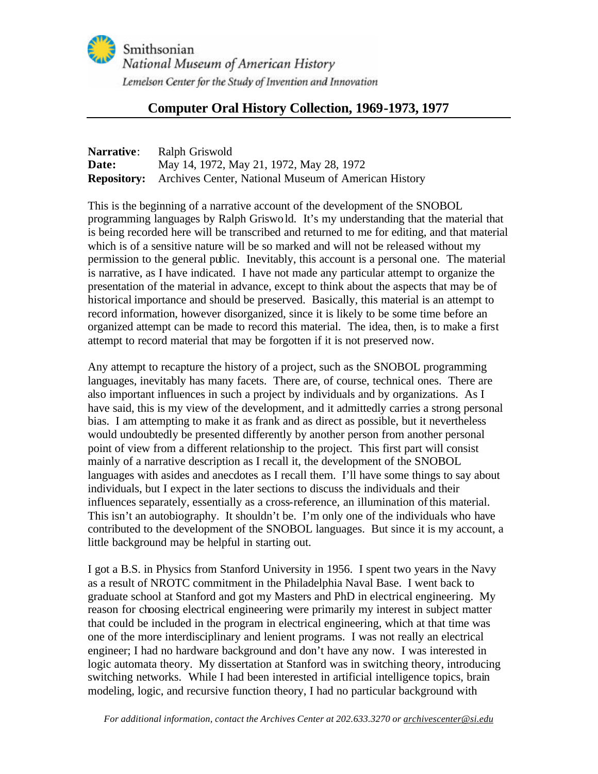

# **Computer Oral History Collection, 1969-1973, 1977**

| <b>Narrative:</b> | Ralph Griswold                                                          |
|-------------------|-------------------------------------------------------------------------|
| Date:             | May 14, 1972, May 21, 1972, May 28, 1972                                |
|                   | <b>Repository:</b> Archives Center, National Museum of American History |

This is the beginning of a narrative account of the development of the SNOBOL programming languages by Ralph Griswold. It's my understanding that the material that is being recorded here will be transcribed and returned to me for editing, and that material which is of a sensitive nature will be so marked and will not be released without my permission to the general public. Inevitably, this account is a personal one. The material is narrative, as I have indicated. I have not made any particular attempt to organize the presentation of the material in advance, except to think about the aspects that may be of historical importance and should be preserved. Basically, this material is an attempt to record information, however disorganized, since it is likely to be some time before an organized attempt can be made to record this material. The idea, then, is to make a first attempt to record material that may be forgotten if it is not preserved now.

Any attempt to recapture the history of a project, such as the SNOBOL programming languages, inevitably has many facets. There are, of course, technical ones. There are also important influences in such a project by individuals and by organizations. As I have said, this is my view of the development, and it admittedly carries a strong personal bias. I am attempting to make it as frank and as direct as possible, but it nevertheless would undoubtedly be presented differently by another person from another personal point of view from a different relationship to the project. This first part will consist mainly of a narrative description as I recall it, the development of the SNOBOL languages with asides and anecdotes as I recall them. I'll have some things to say about individuals, but I expect in the later sections to discuss the individuals and their influences separately, essentially as a cross-reference, an illumination of this material. This isn't an autobiography. It shouldn't be. I'm only one of the individuals who have contributed to the development of the SNOBOL languages. But since it is my account, a little background may be helpful in starting out.

I got a B.S. in Physics from Stanford University in 1956. I spent two years in the Navy as a result of NROTC commitment in the Philadelphia Naval Base. I went back to graduate school at Stanford and got my Masters and PhD in electrical engineering. My reason for choosing electrical engineering were primarily my interest in subject matter that could be included in the program in electrical engineering, which at that time was one of the more interdisciplinary and lenient programs. I was not really an electrical engineer; I had no hardware background and don't have any now. I was interested in logic automata theory. My dissertation at Stanford was in switching theory, introducing switching networks. While I had been interested in artificial intelligence topics, brain modeling, logic, and recursive function theory, I had no particular background with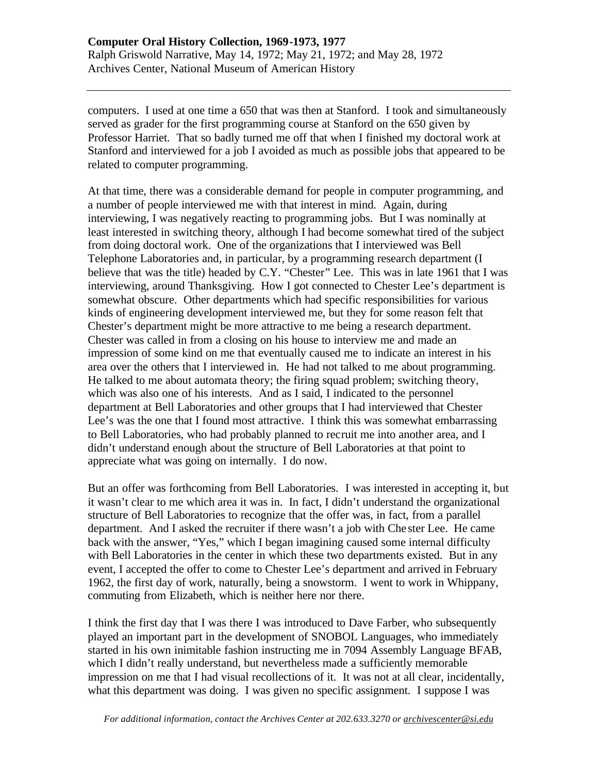computers. I used at one time a 650 that was then at Stanford. I took and simultaneously served as grader for the first programming course at Stanford on the 650 given by Professor Harriet. That so badly turned me off that when I finished my doctoral work at Stanford and interviewed for a job I avoided as much as possible jobs that appeared to be related to computer programming.

At that time, there was a considerable demand for people in computer programming, and a number of people interviewed me with that interest in mind. Again, during interviewing, I was negatively reacting to programming jobs. But I was nominally at least interested in switching theory, although I had become somewhat tired of the subject from doing doctoral work. One of the organizations that I interviewed was Bell Telephone Laboratories and, in particular, by a programming research department (I believe that was the title) headed by C.Y. "Chester" Lee. This was in late 1961 that I was interviewing, around Thanksgiving. How I got connected to Chester Lee's department is somewhat obscure. Other departments which had specific responsibilities for various kinds of engineering development interviewed me, but they for some reason felt that Chester's department might be more attractive to me being a research department. Chester was called in from a closing on his house to interview me and made an impression of some kind on me that eventually caused me to indicate an interest in his area over the others that I interviewed in. He had not talked to me about programming. He talked to me about automata theory; the firing squad problem; switching theory, which was also one of his interests. And as I said, I indicated to the personnel department at Bell Laboratories and other groups that I had interviewed that Chester Lee's was the one that I found most attractive. I think this was somewhat embarrassing to Bell Laboratories, who had probably planned to recruit me into another area, and I didn't understand enough about the structure of Bell Laboratories at that point to appreciate what was going on internally. I do now.

But an offer was forthcoming from Bell Laboratories. I was interested in accepting it, but it wasn't clear to me which area it was in. In fact, I didn't understand the organizational structure of Bell Laboratories to recognize that the offer was, in fact, from a parallel department. And I asked the recruiter if there wasn't a job with Che ster Lee. He came back with the answer, "Yes," which I began imagining caused some internal difficulty with Bell Laboratories in the center in which these two departments existed. But in any event, I accepted the offer to come to Chester Lee's department and arrived in February 1962, the first day of work, naturally, being a snowstorm. I went to work in Whippany, commuting from Elizabeth, which is neither here nor there.

I think the first day that I was there I was introduced to Dave Farber, who subsequently played an important part in the development of SNOBOL Languages, who immediately started in his own inimitable fashion instructing me in 7094 Assembly Language BFAB, which I didn't really understand, but nevertheless made a sufficiently memorable impression on me that I had visual recollections of it. It was not at all clear, incidentally, what this department was doing. I was given no specific assignment. I suppose I was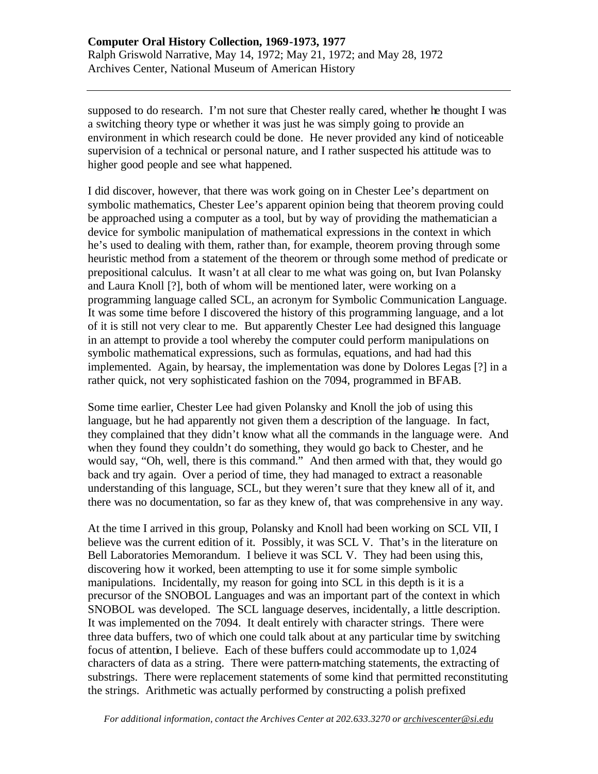supposed to do research. I'm not sure that Chester really cared, whether he thought I was a switching theory type or whether it was just he was simply going to provide an environment in which research could be done. He never provided any kind of noticeable supervision of a technical or personal nature, and I rather suspected his attitude was to higher good people and see what happened.

I did discover, however, that there was work going on in Chester Lee's department on symbolic mathematics, Chester Lee's apparent opinion being that theorem proving could be approached using a computer as a tool, but by way of providing the mathematician a device for symbolic manipulation of mathematical expressions in the context in which he's used to dealing with them, rather than, for example, theorem proving through some heuristic method from a statement of the theorem or through some method of predicate or prepositional calculus. It wasn't at all clear to me what was going on, but Ivan Polansky and Laura Knoll [?], both of whom will be mentioned later, were working on a programming language called SCL, an acronym for Symbolic Communication Language. It was some time before I discovered the history of this programming language, and a lot of it is still not very clear to me. But apparently Chester Lee had designed this language in an attempt to provide a tool whereby the computer could perform manipulations on symbolic mathematical expressions, such as formulas, equations, and had had this implemented. Again, by hearsay, the implementation was done by Dolores Legas [?] in a rather quick, not very sophisticated fashion on the 7094, programmed in BFAB.

Some time earlier, Chester Lee had given Polansky and Knoll the job of using this language, but he had apparently not given them a description of the language. In fact, they complained that they didn't know what all the commands in the language were. And when they found they couldn't do something, they would go back to Chester, and he would say, "Oh, well, there is this command." And then armed with that, they would go back and try again. Over a period of time, they had managed to extract a reasonable understanding of this language, SCL, but they weren't sure that they knew all of it, and there was no documentation, so far as they knew of, that was comprehensive in any way.

At the time I arrived in this group, Polansky and Knoll had been working on SCL VII, I believe was the current edition of it. Possibly, it was SCL V. That's in the literature on Bell Laboratories Memorandum. I believe it was SCL V. They had been using this, discovering how it worked, been attempting to use it for some simple symbolic manipulations. Incidentally, my reason for going into SCL in this depth is it is a precursor of the SNOBOL Languages and was an important part of the context in which SNOBOL was developed. The SCL language deserves, incidentally, a little description. It was implemented on the 7094. It dealt entirely with character strings. There were three data buffers, two of which one could talk about at any particular time by switching focus of attention, I believe. Each of these buffers could accommodate up to 1,024 characters of data as a string. There were pattern-matching statements, the extracting of substrings. There were replacement statements of some kind that permitted reconstituting the strings. Arithmetic was actually performed by constructing a polish prefixed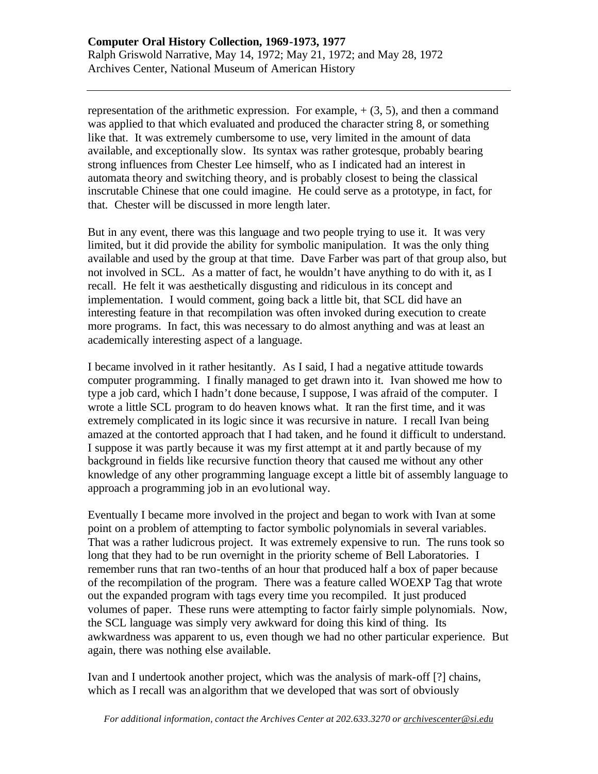representation of the arithmetic expression. For example,  $+(3, 5)$ , and then a command was applied to that which evaluated and produced the character string 8, or something like that. It was extremely cumbersome to use, very limited in the amount of data available, and exceptionally slow. Its syntax was rather grotesque, probably bearing strong influences from Chester Lee himself, who as I indicated had an interest in automata theory and switching theory, and is probably closest to being the classical inscrutable Chinese that one could imagine. He could serve as a prototype, in fact, for that. Chester will be discussed in more length later.

But in any event, there was this language and two people trying to use it. It was very limited, but it did provide the ability for symbolic manipulation. It was the only thing available and used by the group at that time. Dave Farber was part of that group also, but not involved in SCL. As a matter of fact, he wouldn't have anything to do with it, as I recall. He felt it was aesthetically disgusting and ridiculous in its concept and implementation. I would comment, going back a little bit, that SCL did have an interesting feature in that recompilation was often invoked during execution to create more programs. In fact, this was necessary to do almost anything and was at least an academically interesting aspect of a language.

I became involved in it rather hesitantly. As I said, I had a negative attitude towards computer programming. I finally managed to get drawn into it. Ivan showed me how to type a job card, which I hadn't done because, I suppose, I was afraid of the computer. I wrote a little SCL program to do heaven knows what. It ran the first time, and it was extremely complicated in its logic since it was recursive in nature. I recall Ivan being amazed at the contorted approach that I had taken, and he found it difficult to understand. I suppose it was partly because it was my first attempt at it and partly because of my background in fields like recursive function theory that caused me without any other knowledge of any other programming language except a little bit of assembly language to approach a programming job in an evolutional way.

Eventually I became more involved in the project and began to work with Ivan at some point on a problem of attempting to factor symbolic polynomials in several variables. That was a rather ludicrous project. It was extremely expensive to run. The runs took so long that they had to be run overnight in the priority scheme of Bell Laboratories. I remember runs that ran two-tenths of an hour that produced half a box of paper because of the recompilation of the program. There was a feature called WOEXP Tag that wrote out the expanded program with tags every time you recompiled. It just produced volumes of paper. These runs were attempting to factor fairly simple polynomials. Now, the SCL language was simply very awkward for doing this kind of thing. Its awkwardness was apparent to us, even though we had no other particular experience. But again, there was nothing else available.

Ivan and I undertook another project, which was the analysis of mark-off [?] chains, which as I recall was an algorithm that we developed that was sort of obviously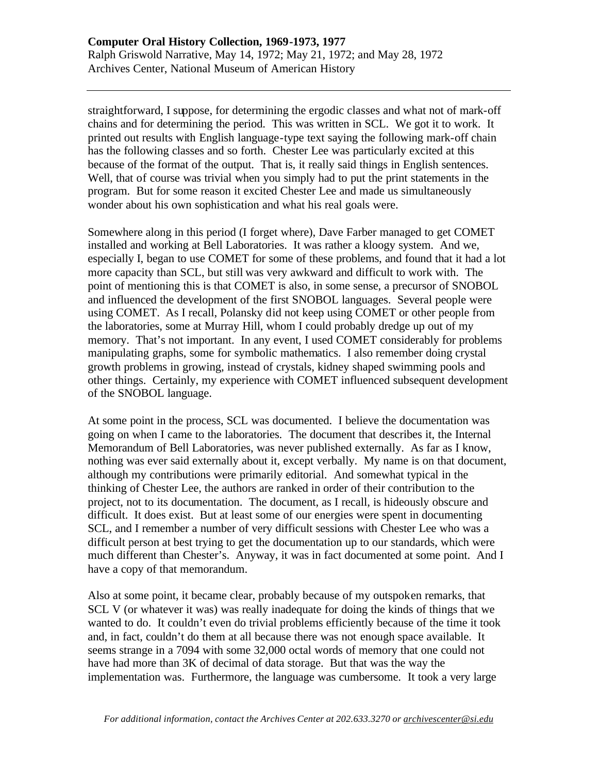straightforward, I suppose, for determining the ergodic classes and what not of mark-off chains and for determining the period. This was written in SCL. We got it to work. It printed out results with English language-type text saying the following mark-off chain has the following classes and so forth. Chester Lee was particularly excited at this because of the format of the output. That is, it really said things in English sentences. Well, that of course was trivial when you simply had to put the print statements in the program. But for some reason it excited Chester Lee and made us simultaneously wonder about his own sophistication and what his real goals were.

Somewhere along in this period (I forget where), Dave Farber managed to get COMET installed and working at Bell Laboratories. It was rather a kloogy system. And we, especially I, began to use COMET for some of these problems, and found that it had a lot more capacity than SCL, but still was very awkward and difficult to work with. The point of mentioning this is that COMET is also, in some sense, a precursor of SNOBOL and influenced the development of the first SNOBOL languages. Several people were using COMET. As I recall, Polansky did not keep using COMET or other people from the laboratories, some at Murray Hill, whom I could probably dredge up out of my memory. That's not important. In any event, I used COMET considerably for problems manipulating graphs, some for symbolic mathematics. I also remember doing crystal growth problems in growing, instead of crystals, kidney shaped swimming pools and other things. Certainly, my experience with COMET influenced subsequent development of the SNOBOL language.

At some point in the process, SCL was documented. I believe the documentation was going on when I came to the laboratories. The document that describes it, the Internal Memorandum of Bell Laboratories, was never published externally. As far as I know, nothing was ever said externally about it, except verbally. My name is on that document, although my contributions were primarily editorial. And somewhat typical in the thinking of Chester Lee, the authors are ranked in order of their contribution to the project, not to its documentation. The document, as I recall, is hideously obscure and difficult. It does exist. But at least some of our energies were spent in documenting SCL, and I remember a number of very difficult sessions with Chester Lee who was a difficult person at best trying to get the documentation up to our standards, which were much different than Chester's. Anyway, it was in fact documented at some point. And I have a copy of that memorandum.

Also at some point, it became clear, probably because of my outspoken remarks, that SCL V (or whatever it was) was really inadequate for doing the kinds of things that we wanted to do. It couldn't even do trivial problems efficiently because of the time it took and, in fact, couldn't do them at all because there was not enough space available. It seems strange in a 7094 with some 32,000 octal words of memory that one could not have had more than 3K of decimal of data storage. But that was the way the implementation was. Furthermore, the language was cumbersome. It took a very large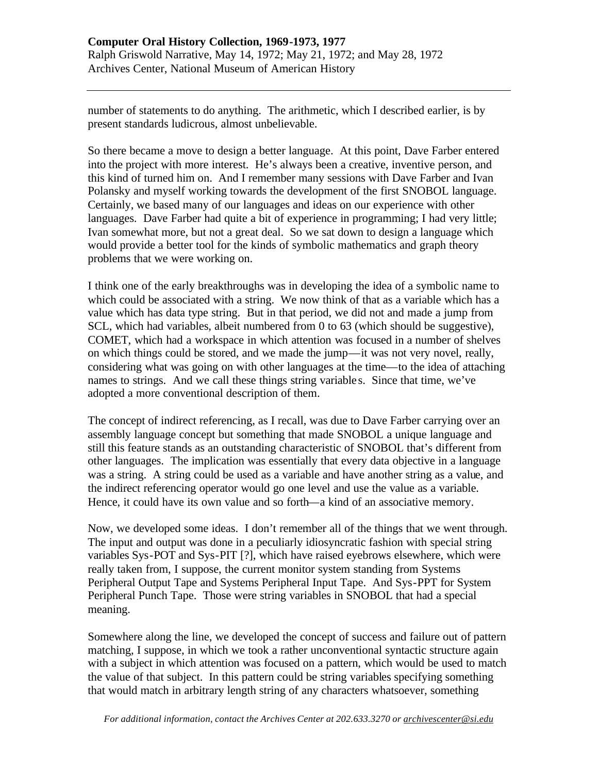number of statements to do anything. The arithmetic, which I described earlier, is by present standards ludicrous, almost unbelievable.

So there became a move to design a better language. At this point, Dave Farber entered into the project with more interest. He's always been a creative, inventive person, and this kind of turned him on. And I remember many sessions with Dave Farber and Ivan Polansky and myself working towards the development of the first SNOBOL language. Certainly, we based many of our languages and ideas on our experience with other languages. Dave Farber had quite a bit of experience in programming; I had very little; Ivan somewhat more, but not a great deal. So we sat down to design a language which would provide a better tool for the kinds of symbolic mathematics and graph theory problems that we were working on.

I think one of the early breakthroughs was in developing the idea of a symbolic name to which could be associated with a string. We now think of that as a variable which has a value which has data type string. But in that period, we did not and made a jump from SCL, which had variables, albeit numbered from 0 to 63 (which should be suggestive), COMET, which had a workspace in which attention was focused in a number of shelves on which things could be stored, and we made the jump—it was not very novel, really, considering what was going on with other languages at the time—to the idea of attaching names to strings. And we call these things string variable s. Since that time, we've adopted a more conventional description of them.

The concept of indirect referencing, as I recall, was due to Dave Farber carrying over an assembly language concept but something that made SNOBOL a unique language and still this feature stands as an outstanding characteristic of SNOBOL that's different from other languages. The implication was essentially that every data objective in a language was a string. A string could be used as a variable and have another string as a value, and the indirect referencing operator would go one level and use the value as a variable. Hence, it could have its own value and so forth—a kind of an associative memory.

Now, we developed some ideas. I don't remember all of the things that we went through. The input and output was done in a peculiarly idiosyncratic fashion with special string variables Sys-POT and Sys-PIT [?], which have raised eyebrows elsewhere, which were really taken from, I suppose, the current monitor system standing from Systems Peripheral Output Tape and Systems Peripheral Input Tape. And Sys-PPT for System Peripheral Punch Tape. Those were string variables in SNOBOL that had a special meaning.

Somewhere along the line, we developed the concept of success and failure out of pattern matching, I suppose, in which we took a rather unconventional syntactic structure again with a subject in which attention was focused on a pattern, which would be used to match the value of that subject. In this pattern could be string variables specifying something that would match in arbitrary length string of any characters whatsoever, something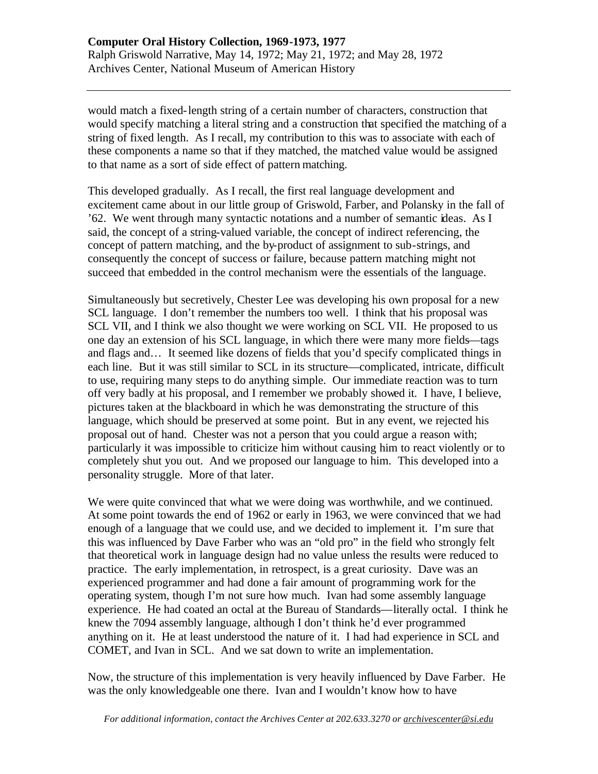would match a fixed-length string of a certain number of characters, construction that would specify matching a literal string and a construction that specified the matching of a string of fixed length. As I recall, my contribution to this was to associate with each of these components a name so that if they matched, the matched value would be assigned to that name as a sort of side effect of pattern matching.

This developed gradually. As I recall, the first real language development and excitement came about in our little group of Griswold, Farber, and Polansky in the fall of '62. We went through many syntactic notations and a number of semantic ideas. As I said, the concept of a string-valued variable, the concept of indirect referencing, the concept of pattern matching, and the by-product of assignment to sub-strings, and consequently the concept of success or failure, because pattern matching might not succeed that embedded in the control mechanism were the essentials of the language.

Simultaneously but secretively, Chester Lee was developing his own proposal for a new SCL language. I don't remember the numbers too well. I think that his proposal was SCL VII, and I think we also thought we were working on SCL VII. He proposed to us one day an extension of his SCL language, in which there were many more fields—tags and flags and… It seemed like dozens of fields that you'd specify complicated things in each line. But it was still similar to SCL in its structure—complicated, intricate, difficult to use, requiring many steps to do anything simple. Our immediate reaction was to turn off very badly at his proposal, and I remember we probably showed it. I have, I believe, pictures taken at the blackboard in which he was demonstrating the structure of this language, which should be preserved at some point. But in any event, we rejected his proposal out of hand. Chester was not a person that you could argue a reason with; particularly it was impossible to criticize him without causing him to react violently or to completely shut you out. And we proposed our language to him. This developed into a personality struggle. More of that later.

We were quite convinced that what we were doing was worthwhile, and we continued. At some point towards the end of 1962 or early in 1963, we were convinced that we had enough of a language that we could use, and we decided to implement it. I'm sure that this was influenced by Dave Farber who was an "old pro" in the field who strongly felt that theoretical work in language design had no value unless the results were reduced to practice. The early implementation, in retrospect, is a great curiosity. Dave was an experienced programmer and had done a fair amount of programming work for the operating system, though I'm not sure how much. Ivan had some assembly language experience. He had coated an octal at the Bureau of Standards—literally octal. I think he knew the 7094 assembly language, although I don't think he'd ever programmed anything on it. He at least understood the nature of it. I had had experience in SCL and COMET, and Ivan in SCL. And we sat down to write an implementation.

Now, the structure of this implementation is very heavily influenced by Dave Farber. He was the only knowledgeable one there. Ivan and I wouldn't know how to have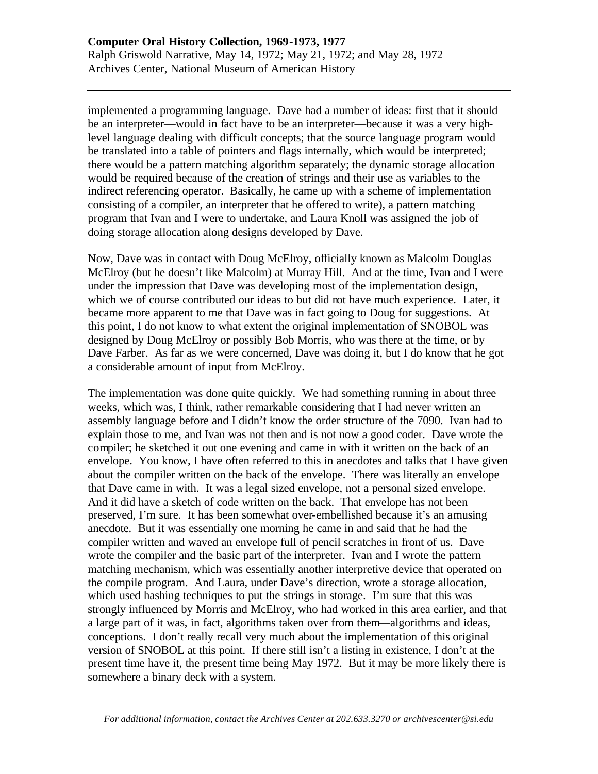implemented a programming language. Dave had a number of ideas: first that it should be an interpreter—would in fact have to be an interpreter—because it was a very highlevel language dealing with difficult concepts; that the source language program would be translated into a table of pointers and flags internally, which would be interpreted; there would be a pattern matching algorithm separately; the dynamic storage allocation would be required because of the creation of strings and their use as variables to the indirect referencing operator. Basically, he came up with a scheme of implementation consisting of a compiler, an interpreter that he offered to write), a pattern matching program that Ivan and I were to undertake, and Laura Knoll was assigned the job of doing storage allocation along designs developed by Dave.

Now, Dave was in contact with Doug McElroy, officially known as Malcolm Douglas McElroy (but he doesn't like Malcolm) at Murray Hill. And at the time, Ivan and I were under the impression that Dave was developing most of the implementation design, which we of course contributed our ideas to but did not have much experience. Later, it became more apparent to me that Dave was in fact going to Doug for suggestions. At this point, I do not know to what extent the original implementation of SNOBOL was designed by Doug McElroy or possibly Bob Morris, who was there at the time, or by Dave Farber. As far as we were concerned, Dave was doing it, but I do know that he got a considerable amount of input from McElroy.

The implementation was done quite quickly. We had something running in about three weeks, which was, I think, rather remarkable considering that I had never written an assembly language before and I didn't know the order structure of the 7090. Ivan had to explain those to me, and Ivan was not then and is not now a good coder. Dave wrote the compiler; he sketched it out one evening and came in with it written on the back of an envelope. You know, I have often referred to this in anecdotes and talks that I have given about the compiler written on the back of the envelope. There was literally an envelope that Dave came in with. It was a legal sized envelope, not a personal sized envelope. And it did have a sketch of code written on the back. That envelope has not been preserved, I'm sure. It has been somewhat over-embellished because it's an amusing anecdote. But it was essentially one morning he came in and said that he had the compiler written and waved an envelope full of pencil scratches in front of us. Dave wrote the compiler and the basic part of the interpreter. Ivan and I wrote the pattern matching mechanism, which was essentially another interpretive device that operated on the compile program. And Laura, under Dave's direction, wrote a storage allocation, which used hashing techniques to put the strings in storage. I'm sure that this was strongly influenced by Morris and McElroy, who had worked in this area earlier, and that a large part of it was, in fact, algorithms taken over from them—algorithms and ideas, conceptions. I don't really recall very much about the implementation of this original version of SNOBOL at this point. If there still isn't a listing in existence, I don't at the present time have it, the present time being May 1972. But it may be more likely there is somewhere a binary deck with a system.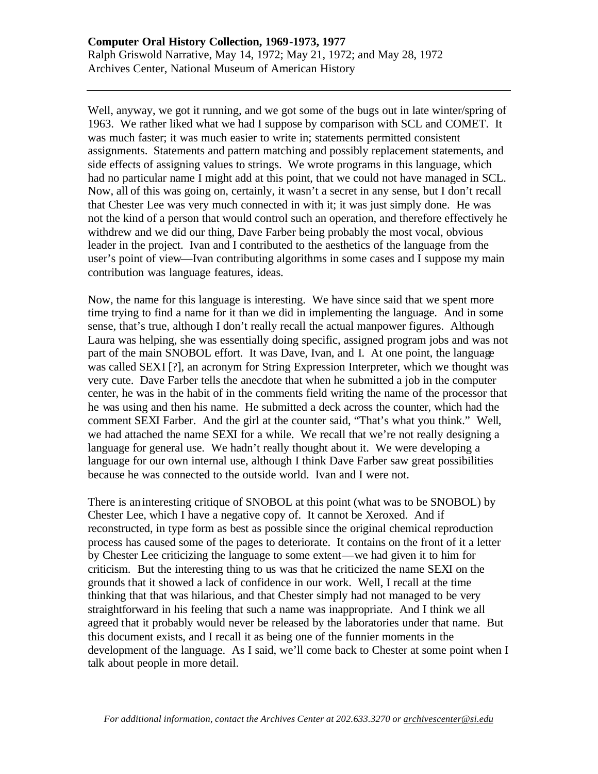Well, anyway, we got it running, and we got some of the bugs out in late winter/spring of 1963. We rather liked what we had I suppose by comparison with SCL and COMET. It was much faster; it was much easier to write in; statements permitted consistent assignments. Statements and pattern matching and possibly replacement statements, and side effects of assigning values to strings. We wrote programs in this language, which had no particular name I might add at this point, that we could not have managed in SCL. Now, all of this was going on, certainly, it wasn't a secret in any sense, but I don't recall that Chester Lee was very much connected in with it; it was just simply done. He was not the kind of a person that would control such an operation, and therefore effectively he withdrew and we did our thing, Dave Farber being probably the most vocal, obvious leader in the project. Ivan and I contributed to the aesthetics of the language from the user's point of view—Ivan contributing algorithms in some cases and I suppose my main contribution was language features, ideas.

Now, the name for this language is interesting. We have since said that we spent more time trying to find a name for it than we did in implementing the language. And in some sense, that's true, although I don't really recall the actual manpower figures. Although Laura was helping, she was essentially doing specific, assigned program jobs and was not part of the main SNOBOL effort. It was Dave, Ivan, and I. At one point, the language was called SEXI [?], an acronym for String Expression Interpreter, which we thought was very cute. Dave Farber tells the anecdote that when he submitted a job in the computer center, he was in the habit of in the comments field writing the name of the processor that he was using and then his name. He submitted a deck across the counter, which had the comment SEXI Farber. And the girl at the counter said, "That's what you think." Well, we had attached the name SEXI for a while. We recall that we're not really designing a language for general use. We hadn't really thought about it. We were developing a language for our own internal use, although I think Dave Farber saw great possibilities because he was connected to the outside world. Ivan and I were not.

There is an interesting critique of SNOBOL at this point (what was to be SNOBOL) by Chester Lee, which I have a negative copy of. It cannot be Xeroxed. And if reconstructed, in type form as best as possible since the original chemical reproduction process has caused some of the pages to deteriorate. It contains on the front of it a letter by Chester Lee criticizing the language to some extent—we had given it to him for criticism. But the interesting thing to us was that he criticized the name SEXI on the grounds that it showed a lack of confidence in our work. Well, I recall at the time thinking that that was hilarious, and that Chester simply had not managed to be very straightforward in his feeling that such a name was inappropriate. And I think we all agreed that it probably would never be released by the laboratories under that name. But this document exists, and I recall it as being one of the funnier moments in the development of the language. As I said, we'll come back to Chester at some point when I talk about people in more detail.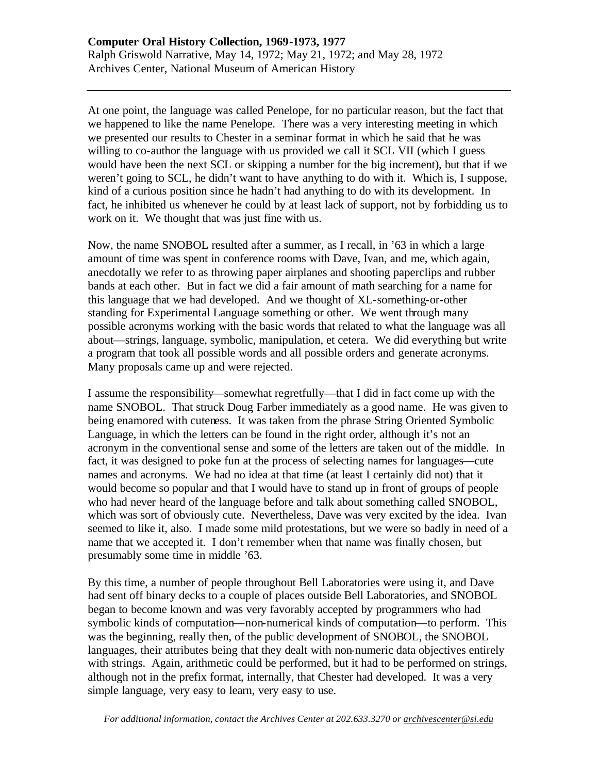At one point, the language was called Penelope, for no particular reason, but the fact that we happened to like the name Penelope. There was a very interesting meeting in which we presented our results to Chester in a seminar format in which he said that he was willing to co-author the language with us provided we call it SCL VII (which I guess would have been the next SCL or skipping a number for the big increment), but that if we weren't going to SCL, he didn't want to have anything to do with it. Which is, I suppose, kind of a curious position since he hadn't had anything to do with its development. In fact, he inhibited us whenever he could by at least lack of support, not by forbidding us to work on it. We thought that was just fine with us.

Now, the name SNOBOL resulted after a summer, as I recall, in '63 in which a large amount of time was spent in conference rooms with Dave, Ivan, and me, which again, anecdotally we refer to as throwing paper airplanes and shooting paperclips and rubber bands at each other. But in fact we did a fair amount of math searching for a name for this language that we had developed. And we thought of XL-something-or-other standing for Experimental Language something or other. We went through many possible acronyms working with the basic words that related to what the language was all about—strings, language, symbolic, manipulation, et cetera. We did everything but write a program that took all possible words and all possible orders and generate acronyms. Many proposals came up and were rejected.

I assume the responsibility—somewhat regretfully—that I did in fact come up with the name SNOBOL. That struck Doug Farber immediately as a good name. He was given to being enamored with cuteness. It was taken from the phrase String Oriented Symbolic Language, in which the letters can be found in the right order, although it's not an acronym in the conventional sense and some of the letters are taken out of the middle. In fact, it was designed to poke fun at the process of selecting names for languages—cute names and acronyms. We had no idea at that time (at least I certainly did not) that it would become so popular and that I would have to stand up in front of groups of people who had never heard of the language before and talk about something called SNOBOL, which was sort of obviously cute. Nevertheless, Dave was very excited by the idea. Ivan seemed to like it, also. I made some mild protestations, but we were so badly in need of a name that we accepted it. I don't remember when that name was finally chosen, but presumably some time in middle '63.

By this time, a number of people throughout Bell Laboratories were using it, and Dave had sent off binary decks to a couple of places outside Bell Laboratories, and SNOBOL began to become known and was very favorably accepted by programmers who had symbolic kinds of computation—non-numerical kinds of computation—to perform. This was the beginning, really then, of the public development of SNOBOL, the SNOBOL languages, their attributes being that they dealt with non-numeric data objectives entirely with strings. Again, arithmetic could be performed, but it had to be performed on strings, although not in the prefix format, internally, that Chester had developed. It was a very simple language, very easy to learn, very easy to use.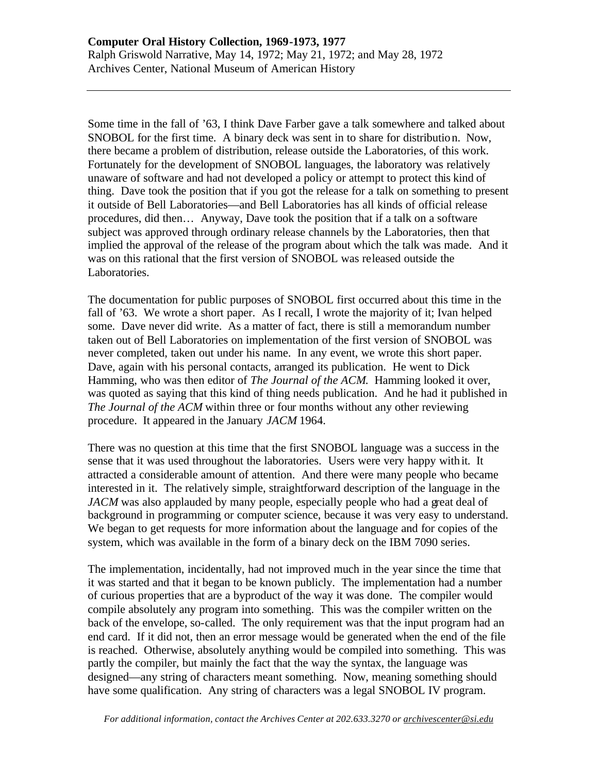Some time in the fall of '63, I think Dave Farber gave a talk somewhere and talked about SNOBOL for the first time. A binary deck was sent in to share for distribution. Now, there became a problem of distribution, release outside the Laboratories, of this work. Fortunately for the development of SNOBOL languages, the laboratory was relatively unaware of software and had not developed a policy or attempt to protect this kind of thing. Dave took the position that if you got the release for a talk on something to present it outside of Bell Laboratories—and Bell Laboratories has all kinds of official release procedures, did then… Anyway, Dave took the position that if a talk on a software subject was approved through ordinary release channels by the Laboratories, then that implied the approval of the release of the program about which the talk was made. And it was on this rational that the first version of SNOBOL was released outside the Laboratories.

The documentation for public purposes of SNOBOL first occurred about this time in the fall of '63. We wrote a short paper. As I recall, I wrote the majority of it; Ivan helped some. Dave never did write. As a matter of fact, there is still a memorandum number taken out of Bell Laboratories on implementation of the first version of SNOBOL was never completed, taken out under his name. In any event, we wrote this short paper. Dave, again with his personal contacts, arranged its publication. He went to Dick Hamming, who was then editor of *The Journal of the ACM*. Hamming looked it over, was quoted as saying that this kind of thing needs publication. And he had it published in *The Journal of the ACM* within three or four months without any other reviewing procedure. It appeared in the January *JACM* 1964.

There was no question at this time that the first SNOBOL language was a success in the sense that it was used throughout the laboratories. Users were very happy with it. It attracted a considerable amount of attention. And there were many people who became interested in it. The relatively simple, straightforward description of the language in the *JACM* was also applauded by many people, especially people who had a great deal of background in programming or computer science, because it was very easy to understand. We began to get requests for more information about the language and for copies of the system, which was available in the form of a binary deck on the IBM 7090 series.

The implementation, incidentally, had not improved much in the year since the time that it was started and that it began to be known publicly. The implementation had a number of curious properties that are a byproduct of the way it was done. The compiler would compile absolutely any program into something. This was the compiler written on the back of the envelope, so-called. The only requirement was that the input program had an end card. If it did not, then an error message would be generated when the end of the file is reached. Otherwise, absolutely anything would be compiled into something. This was partly the compiler, but mainly the fact that the way the syntax, the language was designed—any string of characters meant something. Now, meaning something should have some qualification. Any string of characters was a legal SNOBOL IV program.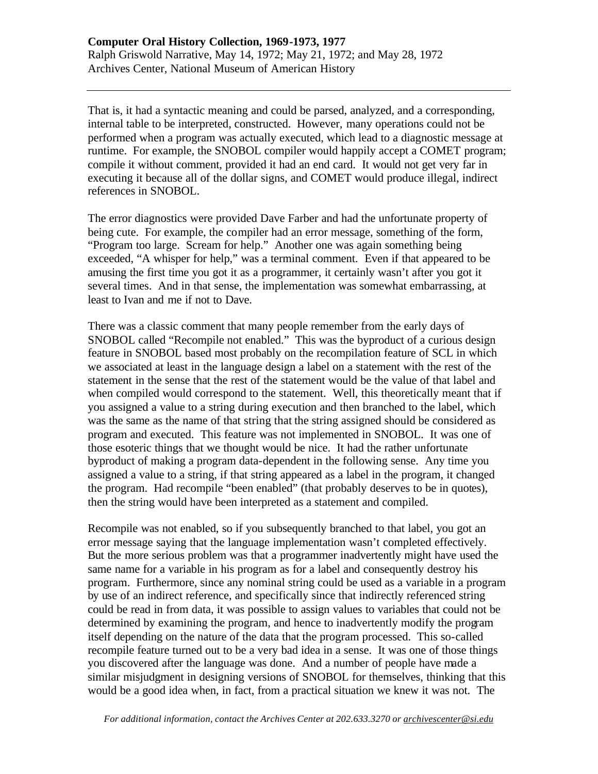That is, it had a syntactic meaning and could be parsed, analyzed, and a corresponding, internal table to be interpreted, constructed. However, many operations could not be performed when a program was actually executed, which lead to a diagnostic message at runtime. For example, the SNOBOL compiler would happily accept a COMET program; compile it without comment, provided it had an end card. It would not get very far in executing it because all of the dollar signs, and COMET would produce illegal, indirect references in SNOBOL.

The error diagnostics were provided Dave Farber and had the unfortunate property of being cute. For example, the compiler had an error message, something of the form, "Program too large. Scream for help." Another one was again something being exceeded, "A whisper for help," was a terminal comment. Even if that appeared to be amusing the first time you got it as a programmer, it certainly wasn't after you got it several times. And in that sense, the implementation was somewhat embarrassing, at least to Ivan and me if not to Dave.

There was a classic comment that many people remember from the early days of SNOBOL called "Recompile not enabled." This was the byproduct of a curious design feature in SNOBOL based most probably on the recompilation feature of SCL in which we associated at least in the language design a label on a statement with the rest of the statement in the sense that the rest of the statement would be the value of that label and when compiled would correspond to the statement. Well, this theoretically meant that if you assigned a value to a string during execution and then branched to the label, which was the same as the name of that string that the string assigned should be considered as program and executed. This feature was not implemented in SNOBOL. It was one of those esoteric things that we thought would be nice. It had the rather unfortunate byproduct of making a program data-dependent in the following sense. Any time you assigned a value to a string, if that string appeared as a label in the program, it changed the program. Had recompile "been enabled" (that probably deserves to be in quotes), then the string would have been interpreted as a statement and compiled.

Recompile was not enabled, so if you subsequently branched to that label, you got an error message saying that the language implementation wasn't completed effectively. But the more serious problem was that a programmer inadvertently might have used the same name for a variable in his program as for a label and consequently destroy his program. Furthermore, since any nominal string could be used as a variable in a program by use of an indirect reference, and specifically since that indirectly referenced string could be read in from data, it was possible to assign values to variables that could not be determined by examining the program, and hence to inadvertently modify the program itself depending on the nature of the data that the program processed. This so-called recompile feature turned out to be a very bad idea in a sense. It was one of those things you discovered after the language was done. And a number of people have made a similar misjudgment in designing versions of SNOBOL for themselves, thinking that this would be a good idea when, in fact, from a practical situation we knew it was not. The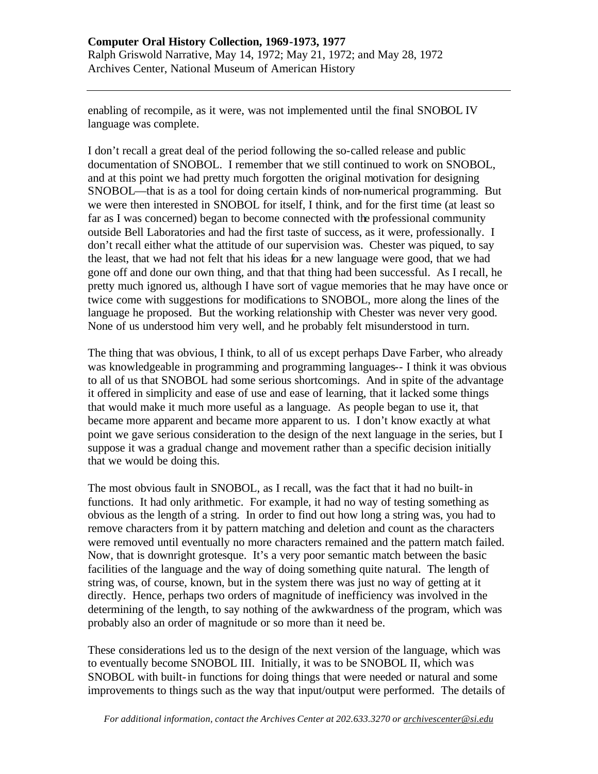enabling of recompile, as it were, was not implemented until the final SNOBOL IV language was complete.

I don't recall a great deal of the period following the so-called release and public documentation of SNOBOL. I remember that we still continued to work on SNOBOL, and at this point we had pretty much forgotten the original motivation for designing SNOBOL—that is as a tool for doing certain kinds of non-numerical programming. But we were then interested in SNOBOL for itself, I think, and for the first time (at least so far as I was concerned) began to become connected with the professional community outside Bell Laboratories and had the first taste of success, as it were, professionally. I don't recall either what the attitude of our supervision was. Chester was piqued, to say the least, that we had not felt that his ideas for a new language were good, that we had gone off and done our own thing, and that that thing had been successful. As I recall, he pretty much ignored us, although I have sort of vague memories that he may have once or twice come with suggestions for modifications to SNOBOL, more along the lines of the language he proposed. But the working relationship with Chester was never very good. None of us understood him very well, and he probably felt misunderstood in turn.

The thing that was obvious, I think, to all of us except perhaps Dave Farber, who already was knowledgeable in programming and programming languages-- I think it was obvious to all of us that SNOBOL had some serious shortcomings. And in spite of the advantage it offered in simplicity and ease of use and ease of learning, that it lacked some things that would make it much more useful as a language. As people began to use it, that became more apparent and became more apparent to us. I don't know exactly at what point we gave serious consideration to the design of the next language in the series, but I suppose it was a gradual change and movement rather than a specific decision initially that we would be doing this.

The most obvious fault in SNOBOL, as I recall, was the fact that it had no built-in functions. It had only arithmetic. For example, it had no way of testing something as obvious as the length of a string. In order to find out how long a string was, you had to remove characters from it by pattern matching and deletion and count as the characters were removed until eventually no more characters remained and the pattern match failed. Now, that is downright grotesque. It's a very poor semantic match between the basic facilities of the language and the way of doing something quite natural. The length of string was, of course, known, but in the system there was just no way of getting at it directly. Hence, perhaps two orders of magnitude of inefficiency was involved in the determining of the length, to say nothing of the awkwardness of the program, which was probably also an order of magnitude or so more than it need be.

These considerations led us to the design of the next version of the language, which was to eventually become SNOBOL III. Initially, it was to be SNOBOL II, which was SNOBOL with built-in functions for doing things that were needed or natural and some improvements to things such as the way that input/output were performed. The details of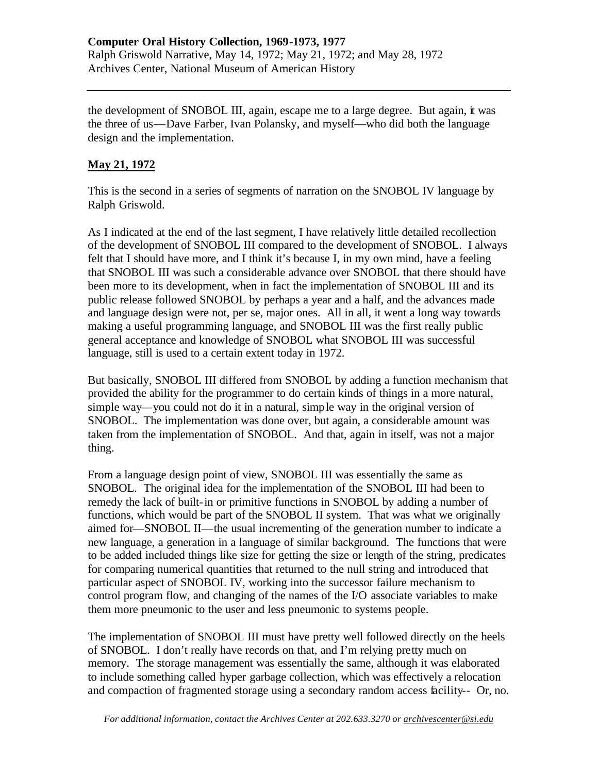the development of SNOBOL III, again, escape me to a large degree. But again, it was the three of us—Dave Farber, Ivan Polansky, and myself—who did both the language design and the implementation.

## **May 21, 1972**

This is the second in a series of segments of narration on the SNOBOL IV language by Ralph Griswold.

As I indicated at the end of the last segment, I have relatively little detailed recollection of the development of SNOBOL III compared to the development of SNOBOL. I always felt that I should have more, and I think it's because I, in my own mind, have a feeling that SNOBOL III was such a considerable advance over SNOBOL that there should have been more to its development, when in fact the implementation of SNOBOL III and its public release followed SNOBOL by perhaps a year and a half, and the advances made and language design were not, per se, major ones. All in all, it went a long way towards making a useful programming language, and SNOBOL III was the first really public general acceptance and knowledge of SNOBOL what SNOBOL III was successful language, still is used to a certain extent today in 1972.

But basically, SNOBOL III differed from SNOBOL by adding a function mechanism that provided the ability for the programmer to do certain kinds of things in a more natural, simple way—you could not do it in a natural, simple way in the original version of SNOBOL. The implementation was done over, but again, a considerable amount was taken from the implementation of SNOBOL. And that, again in itself, was not a major thing.

From a language design point of view, SNOBOL III was essentially the same as SNOBOL. The original idea for the implementation of the SNOBOL III had been to remedy the lack of built-in or primitive functions in SNOBOL by adding a number of functions, which would be part of the SNOBOL II system. That was what we originally aimed for—SNOBOL II—the usual incrementing of the generation number to indicate a new language, a generation in a language of similar background. The functions that were to be added included things like size for getting the size or length of the string, predicates for comparing numerical quantities that returned to the null string and introduced that particular aspect of SNOBOL IV, working into the successor failure mechanism to control program flow, and changing of the names of the I/O associate variables to make them more pneumonic to the user and less pneumonic to systems people.

The implementation of SNOBOL III must have pretty well followed directly on the heels of SNOBOL. I don't really have records on that, and I'm relying pretty much on memory. The storage management was essentially the same, although it was elaborated to include something called hyper garbage collection, which was effectively a relocation and compaction of fragmented storage using a secondary random access facility-- Or, no.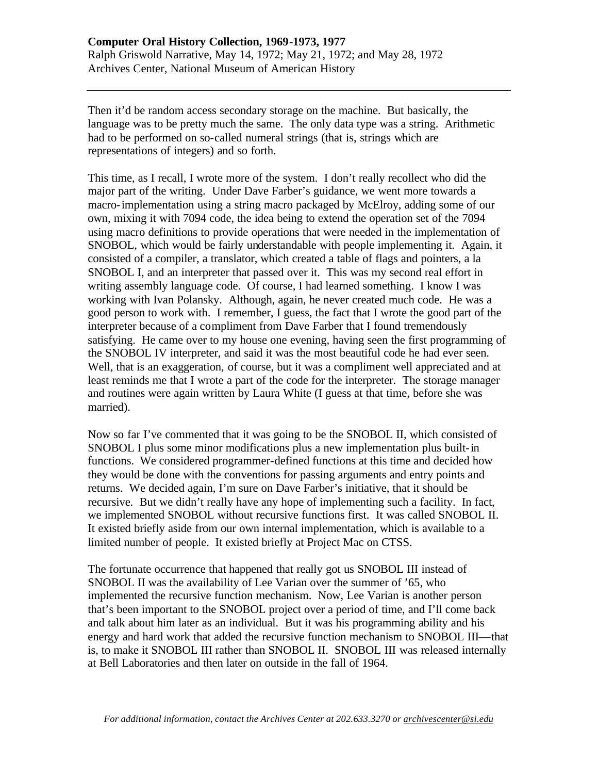Then it'd be random access secondary storage on the machine. But basically, the language was to be pretty much the same. The only data type was a string. Arithmetic had to be performed on so-called numeral strings (that is, strings which are representations of integers) and so forth.

This time, as I recall, I wrote more of the system. I don't really recollect who did the major part of the writing. Under Dave Farber's guidance, we went more towards a macro-implementation using a string macro packaged by McElroy, adding some of our own, mixing it with 7094 code, the idea being to extend the operation set of the 7094 using macro definitions to provide operations that were needed in the implementation of SNOBOL, which would be fairly understandable with people implementing it. Again, it consisted of a compiler, a translator, which created a table of flags and pointers, a la SNOBOL I, and an interpreter that passed over it. This was my second real effort in writing assembly language code. Of course, I had learned something. I know I was working with Ivan Polansky. Although, again, he never created much code. He was a good person to work with. I remember, I guess, the fact that I wrote the good part of the interpreter because of a compliment from Dave Farber that I found tremendously satisfying. He came over to my house one evening, having seen the first programming of the SNOBOL IV interpreter, and said it was the most beautiful code he had ever seen. Well, that is an exaggeration, of course, but it was a compliment well appreciated and at least reminds me that I wrote a part of the code for the interpreter. The storage manager and routines were again written by Laura White (I guess at that time, before she was married).

Now so far I've commented that it was going to be the SNOBOL II, which consisted of SNOBOL I plus some minor modifications plus a new implementation plus built-in functions. We considered programmer-defined functions at this time and decided how they would be done with the conventions for passing arguments and entry points and returns. We decided again, I'm sure on Dave Farber's initiative, that it should be recursive. But we didn't really have any hope of implementing such a facility. In fact, we implemented SNOBOL without recursive functions first. It was called SNOBOL II. It existed briefly aside from our own internal implementation, which is available to a limited number of people. It existed briefly at Project Mac on CTSS.

The fortunate occurrence that happened that really got us SNOBOL III instead of SNOBOL II was the availability of Lee Varian over the summer of '65, who implemented the recursive function mechanism. Now, Lee Varian is another person that's been important to the SNOBOL project over a period of time, and I'll come back and talk about him later as an individual. But it was his programming ability and his energy and hard work that added the recursive function mechanism to SNOBOL III—that is, to make it SNOBOL III rather than SNOBOL II. SNOBOL III was released internally at Bell Laboratories and then later on outside in the fall of 1964.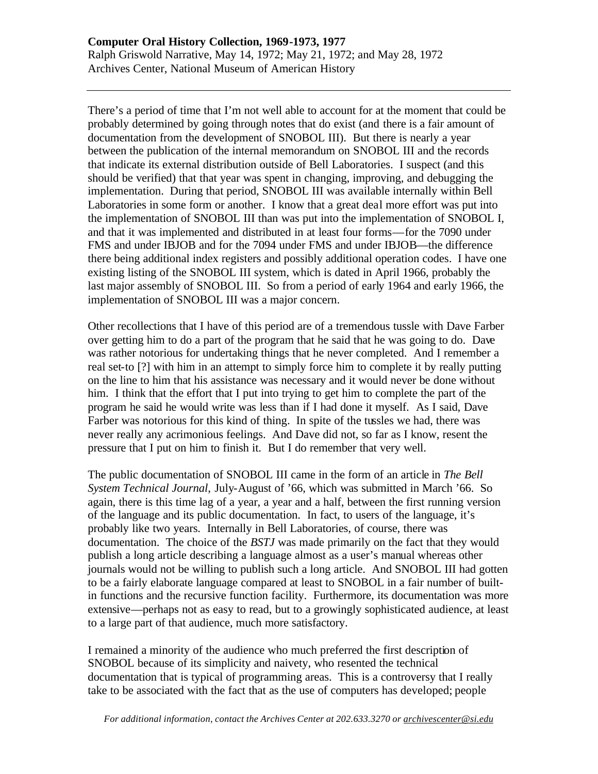There's a period of time that I'm not well able to account for at the moment that could be probably determined by going through notes that do exist (and there is a fair amount of documentation from the development of SNOBOL III). But there is nearly a year between the publication of the internal memorandum on SNOBOL III and the records that indicate its external distribution outside of Bell Laboratories. I suspect (and this should be verified) that that year was spent in changing, improving, and debugging the implementation. During that period, SNOBOL III was available internally within Bell Laboratories in some form or another. I know that a great deal more effort was put into the implementation of SNOBOL III than was put into the implementation of SNOBOL I, and that it was implemented and distributed in at least four forms—for the 7090 under FMS and under IBJOB and for the 7094 under FMS and under IBJOB—the difference there being additional index registers and possibly additional operation codes. I have one existing listing of the SNOBOL III system, which is dated in April 1966, probably the last major assembly of SNOBOL III. So from a period of early 1964 and early 1966, the implementation of SNOBOL III was a major concern.

Other recollections that I have of this period are of a tremendous tussle with Dave Farber over getting him to do a part of the program that he said that he was going to do. Dave was rather notorious for undertaking things that he never completed. And I remember a real set-to [?] with him in an attempt to simply force him to complete it by really putting on the line to him that his assistance was necessary and it would never be done without him. I think that the effort that I put into trying to get him to complete the part of the program he said he would write was less than if I had done it myself. As I said, Dave Farber was notorious for this kind of thing. In spite of the tussles we had, there was never really any acrimonious feelings. And Dave did not, so far as I know, resent the pressure that I put on him to finish it. But I do remember that very well.

The public documentation of SNOBOL III came in the form of an article in *The Bell System Technical Journal*, July-August of '66, which was submitted in March '66. So again, there is this time lag of a year, a year and a half, between the first running version of the language and its public documentation. In fact, to users of the language, it's probably like two years. Internally in Bell Laboratories, of course, there was documentation. The choice of the *BSTJ* was made primarily on the fact that they would publish a long article describing a language almost as a user's manual whereas other journals would not be willing to publish such a long article. And SNOBOL III had gotten to be a fairly elaborate language compared at least to SNOBOL in a fair number of builtin functions and the recursive function facility. Furthermore, its documentation was more extensive—perhaps not as easy to read, but to a growingly sophisticated audience, at least to a large part of that audience, much more satisfactory.

I remained a minority of the audience who much preferred the first description of SNOBOL because of its simplicity and naivety, who resented the technical documentation that is typical of programming areas. This is a controversy that I really take to be associated with the fact that as the use of computers has developed; people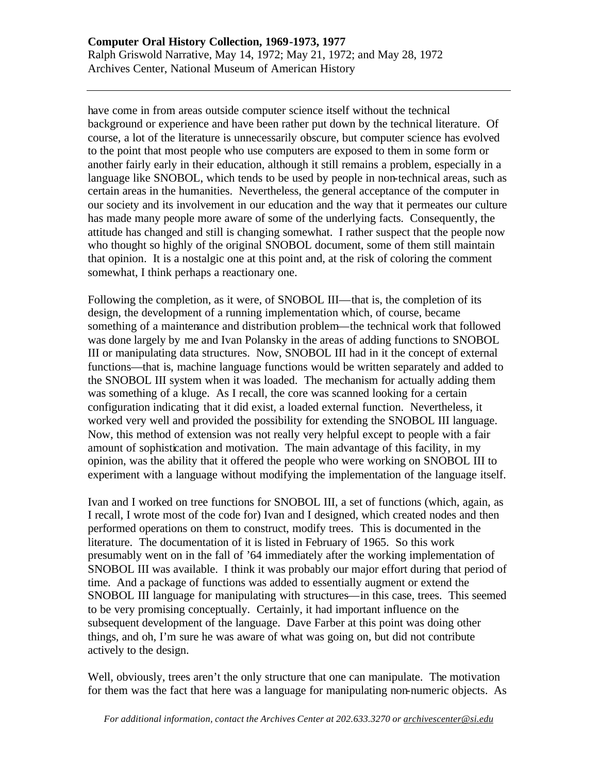have come in from areas outside computer science itself without the technical background or experience and have been rather put down by the technical literature. Of course, a lot of the literature is unnecessarily obscure, but computer science has evolved to the point that most people who use computers are exposed to them in some form or another fairly early in their education, although it still remains a problem, especially in a language like SNOBOL, which tends to be used by people in non-technical areas, such as certain areas in the humanities. Nevertheless, the general acceptance of the computer in our society and its involvement in our education and the way that it permeates our culture has made many people more aware of some of the underlying facts. Consequently, the attitude has changed and still is changing somewhat. I rather suspect that the people now who thought so highly of the original SNOBOL document, some of them still maintain that opinion. It is a nostalgic one at this point and, at the risk of coloring the comment somewhat, I think perhaps a reactionary one.

Following the completion, as it were, of SNOBOL III—that is, the completion of its design, the development of a running implementation which, of course, became something of a maintenance and distribution problem—the technical work that followed was done largely by me and Ivan Polansky in the areas of adding functions to SNOBOL III or manipulating data structures. Now, SNOBOL III had in it the concept of external functions—that is, machine language functions would be written separately and added to the SNOBOL III system when it was loaded. The mechanism for actually adding them was something of a kluge. As I recall, the core was scanned looking for a certain configuration indicating that it did exist, a loaded external function. Nevertheless, it worked very well and provided the possibility for extending the SNOBOL III language. Now, this method of extension was not really very helpful except to people with a fair amount of sophistication and motivation. The main advantage of this facility, in my opinion, was the ability that it offered the people who were working on SNOBOL III to experiment with a language without modifying the implementation of the language itself.

Ivan and I worked on tree functions for SNOBOL III, a set of functions (which, again, as I recall, I wrote most of the code for) Ivan and I designed, which created nodes and then performed operations on them to construct, modify trees. This is documented in the literature. The documentation of it is listed in February of 1965. So this work presumably went on in the fall of '64 immediately after the working implementation of SNOBOL III was available. I think it was probably our major effort during that period of time. And a package of functions was added to essentially augment or extend the SNOBOL III language for manipulating with structures—in this case, trees. This seemed to be very promising conceptually. Certainly, it had important influence on the subsequent development of the language. Dave Farber at this point was doing other things, and oh, I'm sure he was aware of what was going on, but did not contribute actively to the design.

Well, obviously, trees aren't the only structure that one can manipulate. The motivation for them was the fact that here was a language for manipulating non-numeric objects. As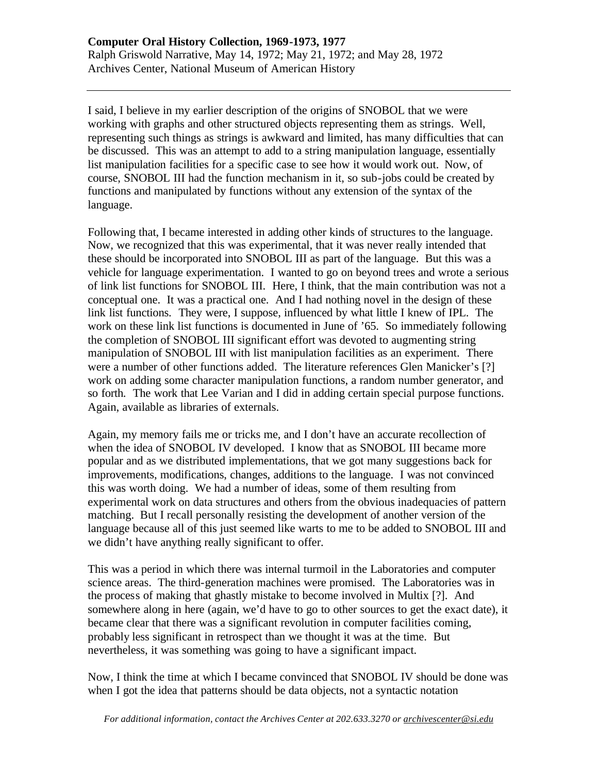I said, I believe in my earlier description of the origins of SNOBOL that we were working with graphs and other structured objects representing them as strings. Well, representing such things as strings is awkward and limited, has many difficulties that can be discussed. This was an attempt to add to a string manipulation language, essentially list manipulation facilities for a specific case to see how it would work out. Now, of course, SNOBOL III had the function mechanism in it, so sub-jobs could be created by functions and manipulated by functions without any extension of the syntax of the language.

Following that, I became interested in adding other kinds of structures to the language. Now, we recognized that this was experimental, that it was never really intended that these should be incorporated into SNOBOL III as part of the language. But this was a vehicle for language experimentation. I wanted to go on beyond trees and wrote a serious of link list functions for SNOBOL III. Here, I think, that the main contribution was not a conceptual one. It was a practical one. And I had nothing novel in the design of these link list functions. They were, I suppose, influenced by what little I knew of IPL. The work on these link list functions is documented in June of '65. So immediately following the completion of SNOBOL III significant effort was devoted to augmenting string manipulation of SNOBOL III with list manipulation facilities as an experiment. There were a number of other functions added. The literature references Glen Manicker's [?] work on adding some character manipulation functions, a random number generator, and so forth. The work that Lee Varian and I did in adding certain special purpose functions. Again, available as libraries of externals.

Again, my memory fails me or tricks me, and I don't have an accurate recollection of when the idea of SNOBOL IV developed. I know that as SNOBOL III became more popular and as we distributed implementations, that we got many suggestions back for improvements, modifications, changes, additions to the language. I was not convinced this was worth doing. We had a number of ideas, some of them resulting from experimental work on data structures and others from the obvious inadequacies of pattern matching. But I recall personally resisting the development of another version of the language because all of this just seemed like warts to me to be added to SNOBOL III and we didn't have anything really significant to offer.

This was a period in which there was internal turmoil in the Laboratories and computer science areas. The third-generation machines were promised. The Laboratories was in the process of making that ghastly mistake to become involved in Multix [?]. And somewhere along in here (again, we'd have to go to other sources to get the exact date), it became clear that there was a significant revolution in computer facilities coming, probably less significant in retrospect than we thought it was at the time. But nevertheless, it was something was going to have a significant impact.

Now, I think the time at which I became convinced that SNOBOL IV should be done was when I got the idea that patterns should be data objects, not a syntactic notation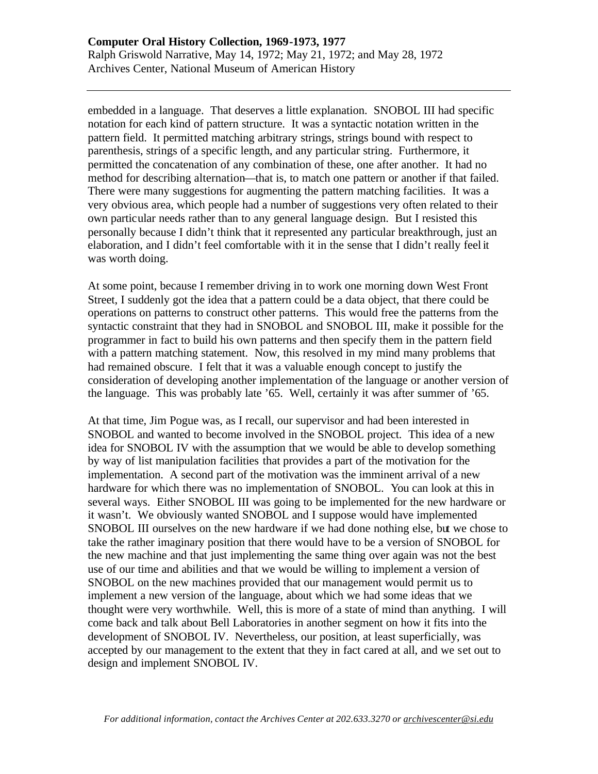embedded in a language. That deserves a little explanation. SNOBOL III had specific notation for each kind of pattern structure. It was a syntactic notation written in the pattern field. It permitted matching arbitrary strings, strings bound with respect to parenthesis, strings of a specific length, and any particular string. Furthermore, it permitted the concatenation of any combination of these, one after another. It had no method for describing alternation—that is, to match one pattern or another if that failed. There were many suggestions for augmenting the pattern matching facilities. It was a very obvious area, which people had a number of suggestions very often related to their own particular needs rather than to any general language design. But I resisted this personally because I didn't think that it represented any particular breakthrough, just an elaboration, and I didn't feel comfortable with it in the sense that I didn't really feel it was worth doing.

At some point, because I remember driving in to work one morning down West Front Street, I suddenly got the idea that a pattern could be a data object, that there could be operations on patterns to construct other patterns. This would free the patterns from the syntactic constraint that they had in SNOBOL and SNOBOL III, make it possible for the programmer in fact to build his own patterns and then specify them in the pattern field with a pattern matching statement. Now, this resolved in my mind many problems that had remained obscure. I felt that it was a valuable enough concept to justify the consideration of developing another implementation of the language or another version of the language. This was probably late '65. Well, certainly it was after summer of '65.

At that time, Jim Pogue was, as I recall, our supervisor and had been interested in SNOBOL and wanted to become involved in the SNOBOL project. This idea of a new idea for SNOBOL IV with the assumption that we would be able to develop something by way of list manipulation facilities that provides a part of the motivation for the implementation. A second part of the motivation was the imminent arrival of a new hardware for which there was no implementation of SNOBOL. You can look at this in several ways. Either SNOBOL III was going to be implemented for the new hardware or it wasn't. We obviously wanted SNOBOL and I suppose would have implemented SNOBOL III ourselves on the new hardware if we had done nothing else, but we chose to take the rather imaginary position that there would have to be a version of SNOBOL for the new machine and that just implementing the same thing over again was not the best use of our time and abilities and that we would be willing to implement a version of SNOBOL on the new machines provided that our management would permit us to implement a new version of the language, about which we had some ideas that we thought were very worthwhile. Well, this is more of a state of mind than anything. I will come back and talk about Bell Laboratories in another segment on how it fits into the development of SNOBOL IV. Nevertheless, our position, at least superficially, was accepted by our management to the extent that they in fact cared at all, and we set out to design and implement SNOBOL IV.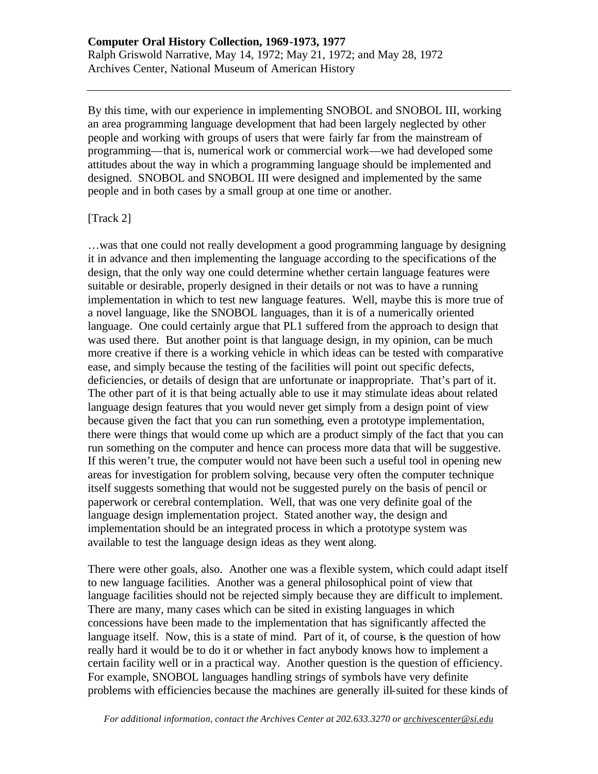By this time, with our experience in implementing SNOBOL and SNOBOL III, working an area programming language development that had been largely neglected by other people and working with groups of users that were fairly far from the mainstream of programming—that is, numerical work or commercial work—we had developed some attitudes about the way in which a programming language should be implemented and designed. SNOBOL and SNOBOL III were designed and implemented by the same people and in both cases by a small group at one time or another.

### [Track 2]

…was that one could not really development a good programming language by designing it in advance and then implementing the language according to the specifications of the design, that the only way one could determine whether certain language features were suitable or desirable, properly designed in their details or not was to have a running implementation in which to test new language features. Well, maybe this is more true of a novel language, like the SNOBOL languages, than it is of a numerically oriented language. One could certainly argue that PL1 suffered from the approach to design that was used there. But another point is that language design, in my opinion, can be much more creative if there is a working vehicle in which ideas can be tested with comparative ease, and simply because the testing of the facilities will point out specific defects, deficiencies, or details of design that are unfortunate or inappropriate. That's part of it. The other part of it is that being actually able to use it may stimulate ideas about related language design features that you would never get simply from a design point of view because given the fact that you can run something, even a prototype implementation, there were things that would come up which are a product simply of the fact that you can run something on the computer and hence can process more data that will be suggestive. If this weren't true, the computer would not have been such a useful tool in opening new areas for investigation for problem solving, because very often the computer technique itself suggests something that would not be suggested purely on the basis of pencil or paperwork or cerebral contemplation. Well, that was one very definite goal of the language design implementation project. Stated another way, the design and implementation should be an integrated process in which a prototype system was available to test the language design ideas as they went along.

There were other goals, also. Another one was a flexible system, which could adapt itself to new language facilities. Another was a general philosophical point of view that language facilities should not be rejected simply because they are difficult to implement. There are many, many cases which can be sited in existing languages in which concessions have been made to the implementation that has significantly affected the language itself. Now, this is a state of mind. Part of it, of course, is the question of how really hard it would be to do it or whether in fact anybody knows how to implement a certain facility well or in a practical way. Another question is the question of efficiency. For example, SNOBOL languages handling strings of symbols have very definite problems with efficiencies because the machines are generally ill-suited for these kinds of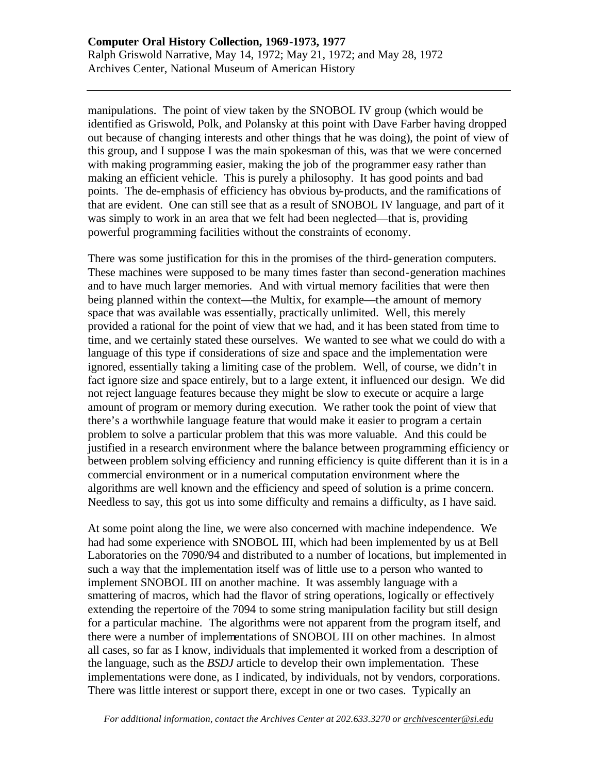manipulations. The point of view taken by the SNOBOL IV group (which would be identified as Griswold, Polk, and Polansky at this point with Dave Farber having dropped out because of changing interests and other things that he was doing), the point of view of this group, and I suppose I was the main spokesman of this, was that we were concerned with making programming easier, making the job of the programmer easy rather than making an efficient vehicle. This is purely a philosophy. It has good points and bad points. The de-emphasis of efficiency has obvious by-products, and the ramifications of that are evident. One can still see that as a result of SNOBOL IV language, and part of it was simply to work in an area that we felt had been neglected—that is, providing powerful programming facilities without the constraints of economy.

There was some justification for this in the promises of the third-generation computers. These machines were supposed to be many times faster than second-generation machines and to have much larger memories. And with virtual memory facilities that were then being planned within the context—the Multix, for example—the amount of memory space that was available was essentially, practically unlimited. Well, this merely provided a rational for the point of view that we had, and it has been stated from time to time, and we certainly stated these ourselves. We wanted to see what we could do with a language of this type if considerations of size and space and the implementation were ignored, essentially taking a limiting case of the problem. Well, of course, we didn't in fact ignore size and space entirely, but to a large extent, it influenced our design. We did not reject language features because they might be slow to execute or acquire a large amount of program or memory during execution. We rather took the point of view that there's a worthwhile language feature that would make it easier to program a certain problem to solve a particular problem that this was more valuable. And this could be justified in a research environment where the balance between programming efficiency or between problem solving efficiency and running efficiency is quite different than it is in a commercial environment or in a numerical computation environment where the algorithms are well known and the efficiency and speed of solution is a prime concern. Needless to say, this got us into some difficulty and remains a difficulty, as I have said.

At some point along the line, we were also concerned with machine independence. We had had some experience with SNOBOL III, which had been implemented by us at Bell Laboratories on the 7090/94 and distributed to a number of locations, but implemented in such a way that the implementation itself was of little use to a person who wanted to implement SNOBOL III on another machine. It was assembly language with a smattering of macros, which had the flavor of string operations, logically or effectively extending the repertoire of the 7094 to some string manipulation facility but still design for a particular machine. The algorithms were not apparent from the program itself, and there were a number of implementations of SNOBOL III on other machines. In almost all cases, so far as I know, individuals that implemented it worked from a description of the language, such as the *BSDJ* article to develop their own implementation. These implementations were done, as I indicated, by individuals, not by vendors, corporations. There was little interest or support there, except in one or two cases. Typically an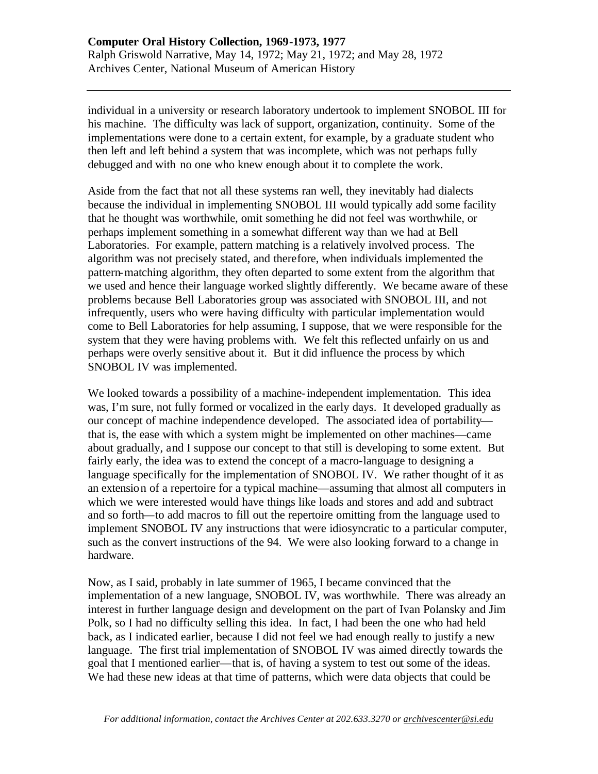individual in a university or research laboratory undertook to implement SNOBOL III for his machine. The difficulty was lack of support, organization, continuity. Some of the implementations were done to a certain extent, for example, by a graduate student who then left and left behind a system that was incomplete, which was not perhaps fully debugged and with no one who knew enough about it to complete the work.

Aside from the fact that not all these systems ran well, they inevitably had dialects because the individual in implementing SNOBOL III would typically add some facility that he thought was worthwhile, omit something he did not feel was worthwhile, or perhaps implement something in a somewhat different way than we had at Bell Laboratories. For example, pattern matching is a relatively involved process. The algorithm was not precisely stated, and therefore, when individuals implemented the pattern-matching algorithm, they often departed to some extent from the algorithm that we used and hence their language worked slightly differently. We became aware of these problems because Bell Laboratories group was associated with SNOBOL III, and not infrequently, users who were having difficulty with particular implementation would come to Bell Laboratories for help assuming, I suppose, that we were responsible for the system that they were having problems with. We felt this reflected unfairly on us and perhaps were overly sensitive about it. But it did influence the process by which SNOBOL IV was implemented.

We looked towards a possibility of a machine-independent implementation. This idea was, I'm sure, not fully formed or vocalized in the early days. It developed gradually as our concept of machine independence developed. The associated idea of portability that is, the ease with which a system might be implemented on other machines—came about gradually, and I suppose our concept to that still is developing to some extent. But fairly early, the idea was to extend the concept of a macro-language to designing a language specifically for the implementation of SNOBOL IV. We rather thought of it as an extension of a repertoire for a typical machine—assuming that almost all computers in which we were interested would have things like loads and stores and add and subtract and so forth—to add macros to fill out the repertoire omitting from the language used to implement SNOBOL IV any instructions that were idiosyncratic to a particular computer, such as the convert instructions of the 94. We were also looking forward to a change in hardware.

Now, as I said, probably in late summer of 1965, I became convinced that the implementation of a new language, SNOBOL IV, was worthwhile. There was already an interest in further language design and development on the part of Ivan Polansky and Jim Polk, so I had no difficulty selling this idea. In fact, I had been the one who had held back, as I indicated earlier, because I did not feel we had enough really to justify a new language. The first trial implementation of SNOBOL IV was aimed directly towards the goal that I mentioned earlier—that is, of having a system to test out some of the ideas. We had these new ideas at that time of patterns, which were data objects that could be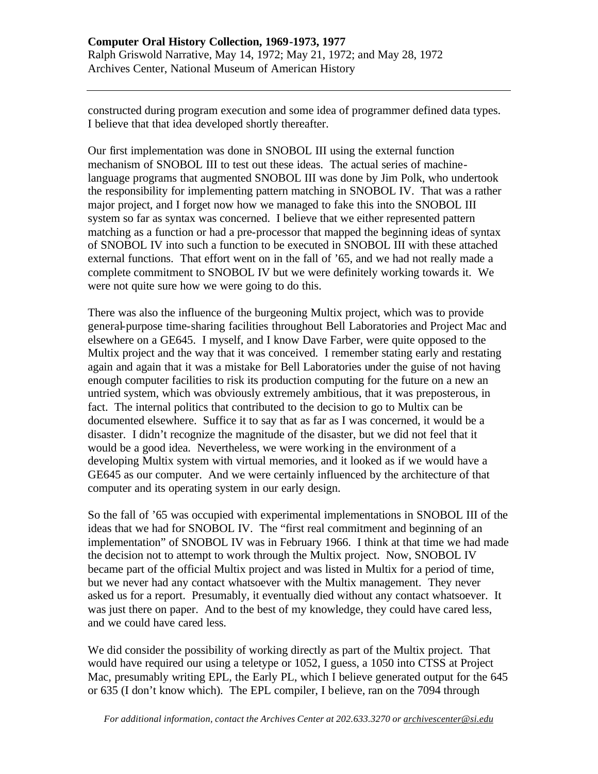constructed during program execution and some idea of programmer defined data types. I believe that that idea developed shortly thereafter.

Our first implementation was done in SNOBOL III using the external function mechanism of SNOBOL III to test out these ideas. The actual series of machinelanguage programs that augmented SNOBOL III was done by Jim Polk, who undertook the responsibility for implementing pattern matching in SNOBOL IV. That was a rather major project, and I forget now how we managed to fake this into the SNOBOL III system so far as syntax was concerned. I believe that we either represented pattern matching as a function or had a pre-processor that mapped the beginning ideas of syntax of SNOBOL IV into such a function to be executed in SNOBOL III with these attached external functions. That effort went on in the fall of '65, and we had not really made a complete commitment to SNOBOL IV but we were definitely working towards it. We were not quite sure how we were going to do this.

There was also the influence of the burgeoning Multix project, which was to provide general-purpose time-sharing facilities throughout Bell Laboratories and Project Mac and elsewhere on a GE645. I myself, and I know Dave Farber, were quite opposed to the Multix project and the way that it was conceived. I remember stating early and restating again and again that it was a mistake for Bell Laboratories under the guise of not having enough computer facilities to risk its production computing for the future on a new an untried system, which was obviously extremely ambitious, that it was preposterous, in fact. The internal politics that contributed to the decision to go to Multix can be documented elsewhere. Suffice it to say that as far as I was concerned, it would be a disaster. I didn't recognize the magnitude of the disaster, but we did not feel that it would be a good idea. Nevertheless, we were working in the environment of a developing Multix system with virtual memories, and it looked as if we would have a GE645 as our computer. And we were certainly influenced by the architecture of that computer and its operating system in our early design.

So the fall of '65 was occupied with experimental implementations in SNOBOL III of the ideas that we had for SNOBOL IV. The "first real commitment and beginning of an implementation" of SNOBOL IV was in February 1966. I think at that time we had made the decision not to attempt to work through the Multix project. Now, SNOBOL IV became part of the official Multix project and was listed in Multix for a period of time, but we never had any contact whatsoever with the Multix management. They never asked us for a report. Presumably, it eventually died without any contact whatsoever. It was just there on paper. And to the best of my knowledge, they could have cared less, and we could have cared less.

We did consider the possibility of working directly as part of the Multix project. That would have required our using a teletype or 1052, I guess, a 1050 into CTSS at Project Mac, presumably writing EPL, the Early PL, which I believe generated output for the 645 or 635 (I don't know which). The EPL compiler, I believe, ran on the 7094 through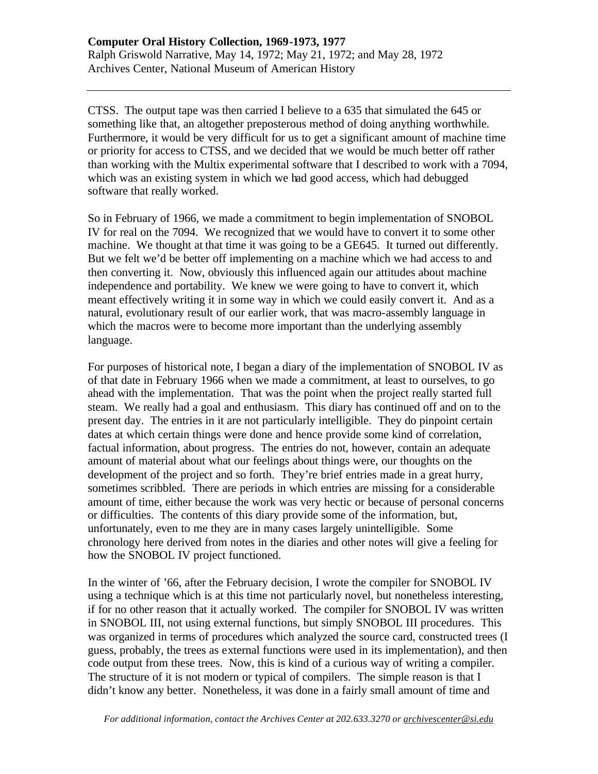CTSS. The output tape was then carried I believe to a 635 that simulated the 645 or something like that, an altogether preposterous method of doing anything worthwhile. Furthermore, it would be very difficult for us to get a significant amount of machine time or priority for access to CTSS, and we decided that we would be much better off rather than working with the Multix experimental software that I described to work with a 7094, which was an existing system in which we had good access, which had debugged software that really worked.

So in February of 1966, we made a commitment to begin implementation of SNOBOL IV for real on the 7094. We recognized that we would have to convert it to some other machine. We thought at that time it was going to be a GE645. It turned out differently. But we felt we'd be better off implementing on a machine which we had access to and then converting it. Now, obviously this influenced again our attitudes about machine independence and portability. We knew we were going to have to convert it, which meant effectively writing it in some way in which we could easily convert it. And as a natural, evolutionary result of our earlier work, that was macro-assembly language in which the macros were to become more important than the underlying assembly language.

For purposes of historical note, I began a diary of the implementation of SNOBOL IV as of that date in February 1966 when we made a commitment, at least to ourselves, to go ahead with the implementation. That was the point when the project really started full steam. We really had a goal and enthusiasm. This diary has continued off and on to the present day. The entries in it are not particularly intelligible. They do pinpoint certain dates at which certain things were done and hence provide some kind of correlation, factual information, about progress. The entries do not, however, contain an adequate amount of material about what our feelings about things were, our thoughts on the development of the project and so forth. They're brief entries made in a great hurry, sometimes scribbled. There are periods in which entries are missing for a considerable amount of time, either because the work was very hectic or because of personal concerns or difficulties. The contents of this diary provide some of the information, but, unfortunately, even to me they are in many cases largely unintelligible. Some chronology here derived from notes in the diaries and other notes will give a feeling for how the SNOBOL IV project functioned.

In the winter of '66, after the February decision, I wrote the compiler for SNOBOL IV using a technique which is at this time not particularly novel, but nonetheless interesting, if for no other reason that it actually worked. The compiler for SNOBOL IV was written in SNOBOL III, not using external functions, but simply SNOBOL III procedures. This was organized in terms of procedures which analyzed the source card, constructed trees (I guess, probably, the trees as external functions were used in its implementation), and then code output from these trees. Now, this is kind of a curious way of writing a compiler. The structure of it is not modern or typical of compilers. The simple reason is that I didn't know any better. Nonetheless, it was done in a fairly small amount of time and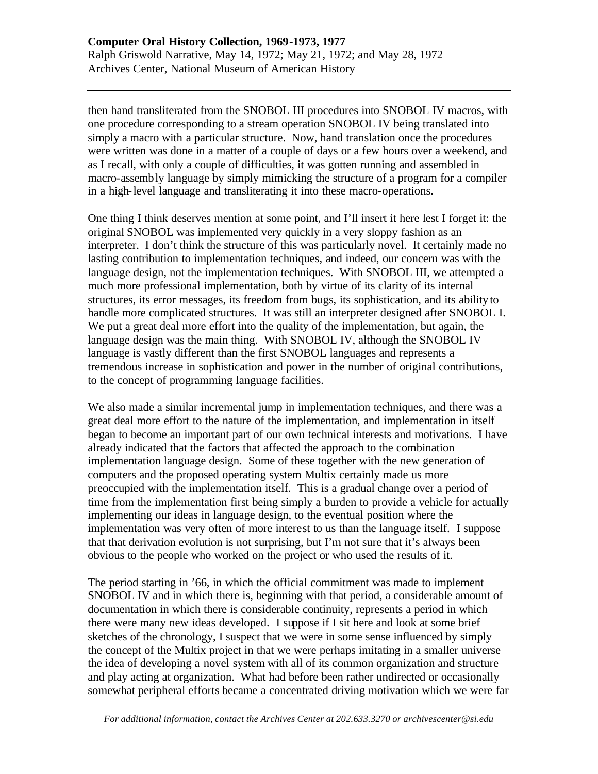then hand transliterated from the SNOBOL III procedures into SNOBOL IV macros, with one procedure corresponding to a stream operation SNOBOL IV being translated into simply a macro with a particular structure. Now, hand translation once the procedures were written was done in a matter of a couple of days or a few hours over a weekend, and as I recall, with only a couple of difficulties, it was gotten running and assembled in macro-assembly language by simply mimicking the structure of a program for a compiler in a high-level language and transliterating it into these macro-operations.

One thing I think deserves mention at some point, and I'll insert it here lest I forget it: the original SNOBOL was implemented very quickly in a very sloppy fashion as an interpreter. I don't think the structure of this was particularly novel. It certainly made no lasting contribution to implementation techniques, and indeed, our concern was with the language design, not the implementation techniques. With SNOBOL III, we attempted a much more professional implementation, both by virtue of its clarity of its internal structures, its error messages, its freedom from bugs, its sophistication, and its ability to handle more complicated structures. It was still an interpreter designed after SNOBOL I. We put a great deal more effort into the quality of the implementation, but again, the language design was the main thing. With SNOBOL IV, although the SNOBOL IV language is vastly different than the first SNOBOL languages and represents a tremendous increase in sophistication and power in the number of original contributions, to the concept of programming language facilities.

We also made a similar incremental jump in implementation techniques, and there was a great deal more effort to the nature of the implementation, and implementation in itself began to become an important part of our own technical interests and motivations. I have already indicated that the factors that affected the approach to the combination implementation language design. Some of these together with the new generation of computers and the proposed operating system Multix certainly made us more preoccupied with the implementation itself. This is a gradual change over a period of time from the implementation first being simply a burden to provide a vehicle for actually implementing our ideas in language design, to the eventual position where the implementation was very often of more interest to us than the language itself. I suppose that that derivation evolution is not surprising, but I'm not sure that it's always been obvious to the people who worked on the project or who used the results of it.

The period starting in '66, in which the official commitment was made to implement SNOBOL IV and in which there is, beginning with that period, a considerable amount of documentation in which there is considerable continuity, represents a period in which there were many new ideas developed. I suppose if I sit here and look at some brief sketches of the chronology, I suspect that we were in some sense influenced by simply the concept of the Multix project in that we were perhaps imitating in a smaller universe the idea of developing a novel system with all of its common organization and structure and play acting at organization. What had before been rather undirected or occasionally somewhat peripheral efforts became a concentrated driving motivation which we were far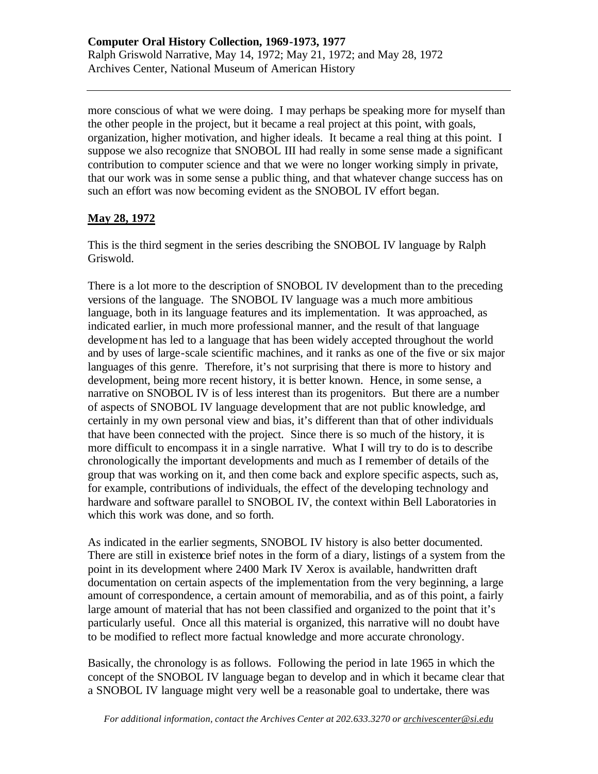more conscious of what we were doing. I may perhaps be speaking more for myself than the other people in the project, but it became a real project at this point, with goals, organization, higher motivation, and higher ideals. It became a real thing at this point. I suppose we also recognize that SNOBOL III had really in some sense made a significant contribution to computer science and that we were no longer working simply in private, that our work was in some sense a public thing, and that whatever change success has on such an effort was now becoming evident as the SNOBOL IV effort began.

## **May 28, 1972**

This is the third segment in the series describing the SNOBOL IV language by Ralph Griswold.

There is a lot more to the description of SNOBOL IV development than to the preceding versions of the language. The SNOBOL IV language was a much more ambitious language, both in its language features and its implementation. It was approached, as indicated earlier, in much more professional manner, and the result of that language development has led to a language that has been widely accepted throughout the world and by uses of large-scale scientific machines, and it ranks as one of the five or six major languages of this genre. Therefore, it's not surprising that there is more to history and development, being more recent history, it is better known. Hence, in some sense, a narrative on SNOBOL IV is of less interest than its progenitors. But there are a number of aspects of SNOBOL IV language development that are not public knowledge, and certainly in my own personal view and bias, it's different than that of other individuals that have been connected with the project. Since there is so much of the history, it is more difficult to encompass it in a single narrative. What I will try to do is to describe chronologically the important developments and much as I remember of details of the group that was working on it, and then come back and explore specific aspects, such as, for example, contributions of individuals, the effect of the developing technology and hardware and software parallel to SNOBOL IV, the context within Bell Laboratories in which this work was done, and so forth.

As indicated in the earlier segments, SNOBOL IV history is also better documented. There are still in existence brief notes in the form of a diary, listings of a system from the point in its development where 2400 Mark IV Xerox is available, handwritten draft documentation on certain aspects of the implementation from the very beginning, a large amount of correspondence, a certain amount of memorabilia, and as of this point, a fairly large amount of material that has not been classified and organized to the point that it's particularly useful. Once all this material is organized, this narrative will no doubt have to be modified to reflect more factual knowledge and more accurate chronology.

Basically, the chronology is as follows. Following the period in late 1965 in which the concept of the SNOBOL IV language began to develop and in which it became clear that a SNOBOL IV language might very well be a reasonable goal to undertake, there was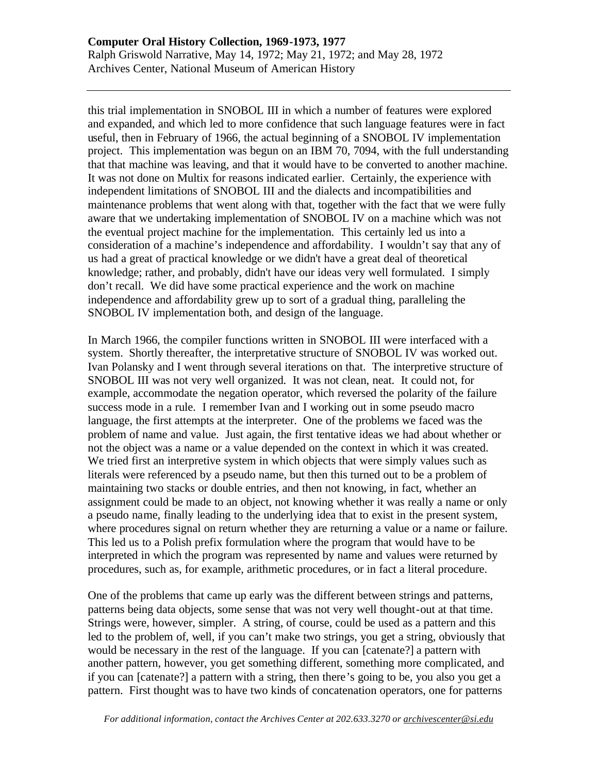this trial implementation in SNOBOL III in which a number of features were explored and expanded, and which led to more confidence that such language features were in fact useful, then in February of 1966, the actual beginning of a SNOBOL IV implementation project. This implementation was begun on an IBM 70, 7094, with the full understanding that that machine was leaving, and that it would have to be converted to another machine. It was not done on Multix for reasons indicated earlier. Certainly, the experience with independent limitations of SNOBOL III and the dialects and incompatibilities and maintenance problems that went along with that, together with the fact that we were fully aware that we undertaking implementation of SNOBOL IV on a machine which was not the eventual project machine for the implementation. This certainly led us into a consideration of a machine's independence and affordability. I wouldn't say that any of us had a great of practical knowledge or we didn't have a great deal of theoretical knowledge; rather, and probably, didn't have our ideas very well formulated. I simply don't recall. We did have some practical experience and the work on machine independence and affordability grew up to sort of a gradual thing, paralleling the SNOBOL IV implementation both, and design of the language.

In March 1966, the compiler functions written in SNOBOL III were interfaced with a system. Shortly thereafter, the interpretative structure of SNOBOL IV was worked out. Ivan Polansky and I went through several iterations on that. The interpretive structure of SNOBOL III was not very well organized. It was not clean, neat. It could not, for example, accommodate the negation operator, which reversed the polarity of the failure success mode in a rule. I remember Ivan and I working out in some pseudo macro language, the first attempts at the interpreter. One of the problems we faced was the problem of name and value. Just again, the first tentative ideas we had about whether or not the object was a name or a value depended on the context in which it was created. We tried first an interpretive system in which objects that were simply values such as literals were referenced by a pseudo name, but then this turned out to be a problem of maintaining two stacks or double entries, and then not knowing, in fact, whether an assignment could be made to an object, not knowing whether it was really a name or only a pseudo name, finally leading to the underlying idea that to exist in the present system, where procedures signal on return whether they are returning a value or a name or failure. This led us to a Polish prefix formulation where the program that would have to be interpreted in which the program was represented by name and values were returned by procedures, such as, for example, arithmetic procedures, or in fact a literal procedure.

One of the problems that came up early was the different between strings and patterns, patterns being data objects, some sense that was not very well thought-out at that time. Strings were, however, simpler. A string, of course, could be used as a pattern and this led to the problem of, well, if you can't make two strings, you get a string, obviously that would be necessary in the rest of the language. If you can [catenate?] a pattern with another pattern, however, you get something different, something more complicated, and if you can [catenate?] a pattern with a string, then there's going to be, you also you get a pattern. First thought was to have two kinds of concatenation operators, one for patterns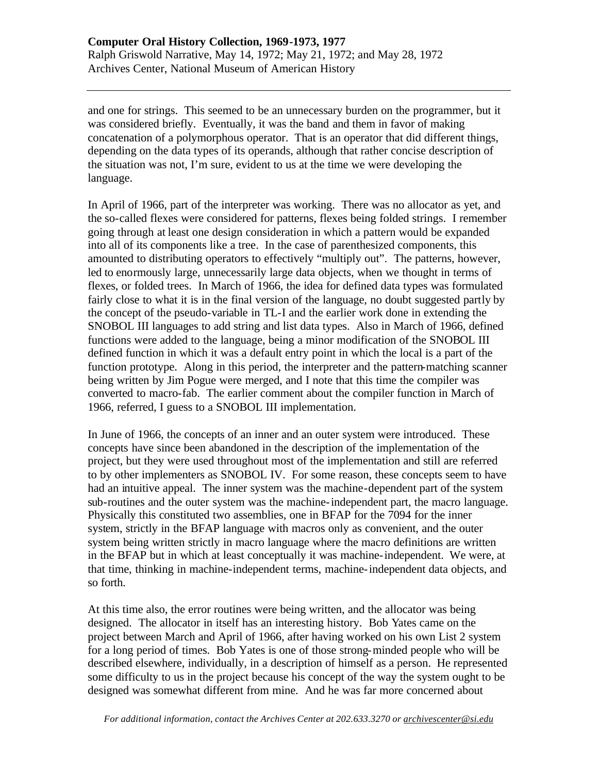and one for strings. This seemed to be an unnecessary burden on the programmer, but it was considered briefly. Eventually, it was the band and them in favor of making concatenation of a polymorphous operator. That is an operator that did different things, depending on the data types of its operands, although that rather concise description of the situation was not, I'm sure, evident to us at the time we were developing the language.

In April of 1966, part of the interpreter was working. There was no allocator as yet, and the so-called flexes were considered for patterns, flexes being folded strings. I remember going through at least one design consideration in which a pattern would be expanded into all of its components like a tree. In the case of parenthesized components, this amounted to distributing operators to effectively "multiply out". The patterns, however, led to enormously large, unnecessarily large data objects, when we thought in terms of flexes, or folded trees. In March of 1966, the idea for defined data types was formulated fairly close to what it is in the final version of the language, no doubt suggested partly by the concept of the pseudo-variable in TL-I and the earlier work done in extending the SNOBOL III languages to add string and list data types. Also in March of 1966, defined functions were added to the language, being a minor modification of the SNOBOL III defined function in which it was a default entry point in which the local is a part of the function prototype. Along in this period, the interpreter and the pattern-matching scanner being written by Jim Pogue were merged, and I note that this time the compiler was converted to macro-fab. The earlier comment about the compiler function in March of 1966, referred, I guess to a SNOBOL III implementation.

In June of 1966, the concepts of an inner and an outer system were introduced. These concepts have since been abandoned in the description of the implementation of the project, but they were used throughout most of the implementation and still are referred to by other implementers as SNOBOL IV. For some reason, these concepts seem to have had an intuitive appeal. The inner system was the machine-dependent part of the system sub-routines and the outer system was the machine-independent part, the macro language. Physically this constituted two assemblies, one in BFAP for the 7094 for the inner system, strictly in the BFAP language with macros only as convenient, and the outer system being written strictly in macro language where the macro definitions are written in the BFAP but in which at least conceptually it was machine-independent. We were, at that time, thinking in machine-independent terms, machine-independent data objects, and so forth.

At this time also, the error routines were being written, and the allocator was being designed. The allocator in itself has an interesting history. Bob Yates came on the project between March and April of 1966, after having worked on his own List 2 system for a long period of times. Bob Yates is one of those strong-minded people who will be described elsewhere, individually, in a description of himself as a person. He represented some difficulty to us in the project because his concept of the way the system ought to be designed was somewhat different from mine. And he was far more concerned about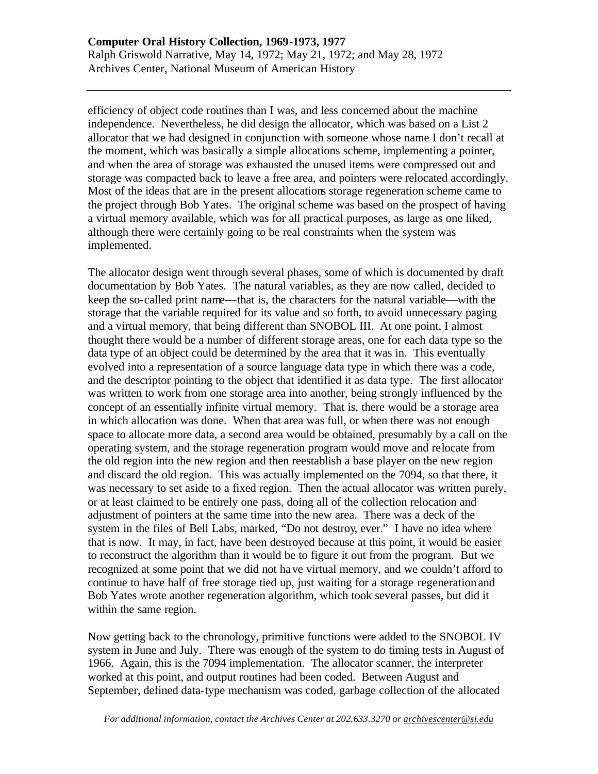efficiency of object code routines than I was, and less concerned about the machine independence. Nevertheless, he did design the allocator, which was based on a List 2 allocator that we had designed in conjunction with someone whose name I don't recall at the moment, which was basically a simple allocations scheme, implementing a pointer, and when the area of storage was exhausted the unused items were compressed out and storage was compacted back to leave a free area, and pointers were relocated accordingly. Most of the ideas that are in the present allocations storage regeneration scheme came to the project through Bob Yates. The original scheme was based on the prospect of having a virtual memory available, which was for all practical purposes, as large as one liked, although there were certainly going to be real constraints when the system was implemented.

The allocator design went through several phases, some of which is documented by draft documentation by Bob Yates. The natural variables, as they are now called, decided to keep the so-called print name—that is, the characters for the natural variable—with the storage that the variable required for its value and so forth, to avoid unnecessary paging and a virtual memory, that being different than SNOBOL III. At one point, I almost thought there would be a number of different storage areas, one for each data type so the data type of an object could be determined by the area that it was in. This eventually evolved into a representation of a source language data type in which there was a code, and the descriptor pointing to the object that identified it as data type. The first allocator was written to work from one storage area into another, being strongly influenced by the concept of an essentially infinite virtual memory. That is, there would be a storage area in which allocation was done. When that area was full, or when there was not enough space to allocate more data, a second area would be obtained, presumably by a call on the operating system, and the storage regeneration program would move and relocate from the old region into the new region and then reestablish a base player on the new region and discard the old region. This was actually implemented on the 7094, so that there, it was necessary to set aside to a fixed region. Then the actual allocator was written purely, or at least claimed to be entirely one pass, doing all of the collection relocation and adjustment of pointers at the same time into the new area. There was a deck of the system in the files of Bell Labs, marked, "Do not destroy, ever." I have no idea where that is now. It may, in fact, have been destroyed because at this point, it would be easier to reconstruct the algorithm than it would be to figure it out from the program. But we recognized at some point that we did not have virtual memory, and we couldn't afford to continue to have half of free storage tied up, just waiting for a storage regeneration and Bob Yates wrote another regeneration algorithm, which took several passes, but did it within the same region.

Now getting back to the chronology, primitive functions were added to the SNOBOL IV system in June and July. There was enough of the system to do timing tests in August of 1966. Again, this is the 7094 implementation. The allocator scanner, the interpreter worked at this point, and output routines had been coded. Between August and September, defined data-type mechanism was coded, garbage collection of the allocated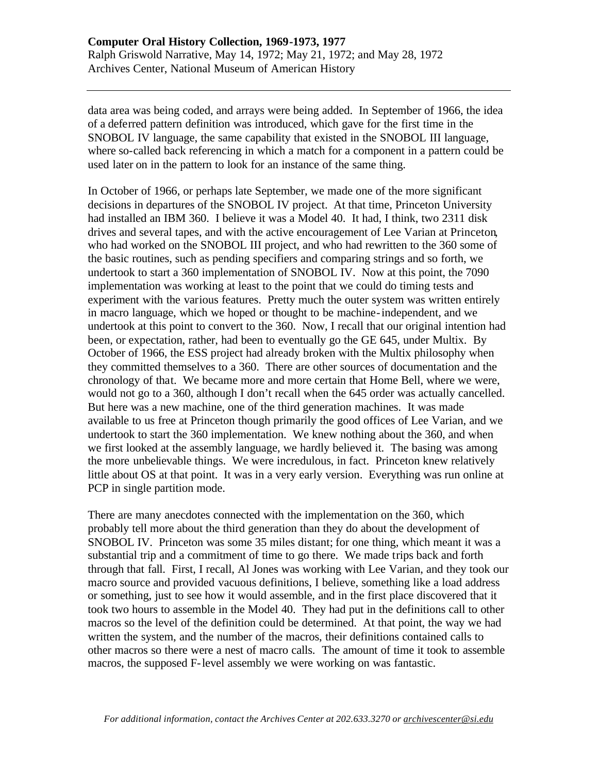data area was being coded, and arrays were being added. In September of 1966, the idea of a deferred pattern definition was introduced, which gave for the first time in the SNOBOL IV language, the same capability that existed in the SNOBOL III language, where so-called back referencing in which a match for a component in a pattern could be used later on in the pattern to look for an instance of the same thing.

In October of 1966, or perhaps late September, we made one of the more significant decisions in departures of the SNOBOL IV project. At that time, Princeton University had installed an IBM 360. I believe it was a Model 40. It had, I think, two 2311 disk drives and several tapes, and with the active encouragement of Lee Varian at Princeton, who had worked on the SNOBOL III project, and who had rewritten to the 360 some of the basic routines, such as pending specifiers and comparing strings and so forth, we undertook to start a 360 implementation of SNOBOL IV. Now at this point, the 7090 implementation was working at least to the point that we could do timing tests and experiment with the various features. Pretty much the outer system was written entirely in macro language, which we hoped or thought to be machine-independent, and we undertook at this point to convert to the 360. Now, I recall that our original intention had been, or expectation, rather, had been to eventually go the GE 645, under Multix. By October of 1966, the ESS project had already broken with the Multix philosophy when they committed themselves to a 360. There are other sources of documentation and the chronology of that. We became more and more certain that Home Bell, where we were, would not go to a 360, although I don't recall when the 645 order was actually cancelled. But here was a new machine, one of the third generation machines. It was made available to us free at Princeton though primarily the good offices of Lee Varian, and we undertook to start the 360 implementation. We knew nothing about the 360, and when we first looked at the assembly language, we hardly believed it. The basing was among the more unbelievable things. We were incredulous, in fact. Princeton knew relatively little about OS at that point. It was in a very early version. Everything was run online at PCP in single partition mode.

There are many anecdotes connected with the implementation on the 360, which probably tell more about the third generation than they do about the development of SNOBOL IV. Princeton was some 35 miles distant; for one thing, which meant it was a substantial trip and a commitment of time to go there. We made trips back and forth through that fall. First, I recall, Al Jones was working with Lee Varian, and they took our macro source and provided vacuous definitions, I believe, something like a load address or something, just to see how it would assemble, and in the first place discovered that it took two hours to assemble in the Model 40. They had put in the definitions call to other macros so the level of the definition could be determined. At that point, the way we had written the system, and the number of the macros, their definitions contained calls to other macros so there were a nest of macro calls. The amount of time it took to assemble macros, the supposed F-level assembly we were working on was fantastic.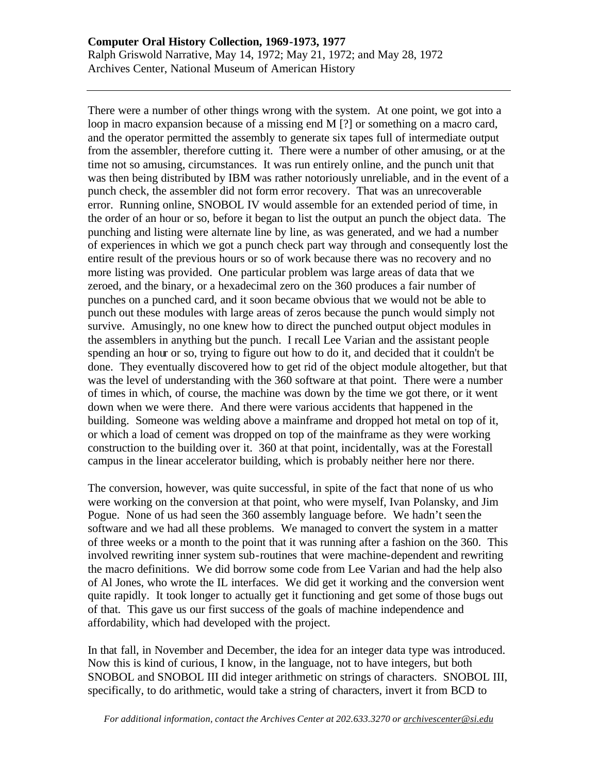There were a number of other things wrong with the system. At one point, we got into a loop in macro expansion because of a missing end M [?] or something on a macro card, and the operator permitted the assembly to generate six tapes full of intermediate output from the assembler, therefore cutting it. There were a number of other amusing, or at the time not so amusing, circumstances. It was run entirely online, and the punch unit that was then being distributed by IBM was rather notoriously unreliable, and in the event of a punch check, the assembler did not form error recovery. That was an unrecoverable error. Running online, SNOBOL IV would assemble for an extended period of time, in the order of an hour or so, before it began to list the output an punch the object data. The punching and listing were alternate line by line, as was generated, and we had a number of experiences in which we got a punch check part way through and consequently lost the entire result of the previous hours or so of work because there was no recovery and no more listing was provided. One particular problem was large areas of data that we zeroed, and the binary, or a hexadecimal zero on the 360 produces a fair number of punches on a punched card, and it soon became obvious that we would not be able to punch out these modules with large areas of zeros because the punch would simply not survive. Amusingly, no one knew how to direct the punched output object modules in the assemblers in anything but the punch. I recall Lee Varian and the assistant people spending an hour or so, trying to figure out how to do it, and decided that it couldn't be done. They eventually discovered how to get rid of the object module altogether, but that was the level of understanding with the 360 software at that point. There were a number of times in which, of course, the machine was down by the time we got there, or it went down when we were there. And there were various accidents that happened in the building. Someone was welding above a mainframe and dropped hot metal on top of it, or which a load of cement was dropped on top of the mainframe as they were working construction to the building over it. 360 at that point, incidentally, was at the Forestall campus in the linear accelerator building, which is probably neither here nor there.

The conversion, however, was quite successful, in spite of the fact that none of us who were working on the conversion at that point, who were myself, Ivan Polansky, and Jim Pogue. None of us had seen the 360 assembly language before. We hadn't seen the software and we had all these problems. We managed to convert the system in a matter of three weeks or a month to the point that it was running after a fashion on the 360. This involved rewriting inner system sub-routines that were machine-dependent and rewriting the macro definitions. We did borrow some code from Lee Varian and had the help also of Al Jones, who wrote the IL interfaces. We did get it working and the conversion went quite rapidly. It took longer to actually get it functioning and get some of those bugs out of that. This gave us our first success of the goals of machine independence and affordability, which had developed with the project.

In that fall, in November and December, the idea for an integer data type was introduced. Now this is kind of curious, I know, in the language, not to have integers, but both SNOBOL and SNOBOL III did integer arithmetic on strings of characters. SNOBOL III, specifically, to do arithmetic, would take a string of characters, invert it from BCD to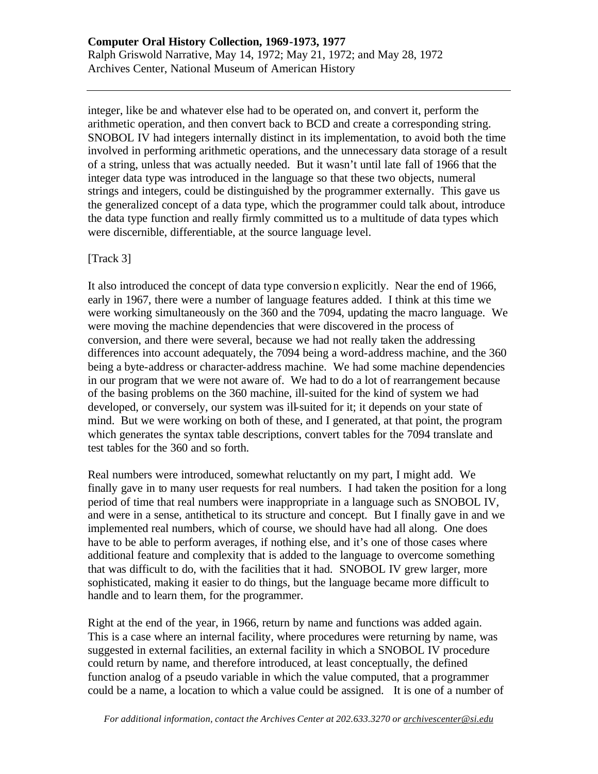integer, like be and whatever else had to be operated on, and convert it, perform the arithmetic operation, and then convert back to BCD and create a corresponding string. SNOBOL IV had integers internally distinct in its implementation, to avoid both the time involved in performing arithmetic operations, and the unnecessary data storage of a result of a string, unless that was actually needed. But it wasn't until late fall of 1966 that the integer data type was introduced in the language so that these two objects, numeral strings and integers, could be distinguished by the programmer externally. This gave us the generalized concept of a data type, which the programmer could talk about, introduce the data type function and really firmly committed us to a multitude of data types which were discernible, differentiable, at the source language level.

## [Track 3]

It also introduced the concept of data type conversion explicitly. Near the end of 1966, early in 1967, there were a number of language features added. I think at this time we were working simultaneously on the 360 and the 7094, updating the macro language. We were moving the machine dependencies that were discovered in the process of conversion, and there were several, because we had not really taken the addressing differences into account adequately, the 7094 being a word-address machine, and the 360 being a byte-address or character-address machine. We had some machine dependencies in our program that we were not aware of. We had to do a lot of rearrangement because of the basing problems on the 360 machine, ill-suited for the kind of system we had developed, or conversely, our system was ill-suited for it; it depends on your state of mind. But we were working on both of these, and I generated, at that point, the program which generates the syntax table descriptions, convert tables for the 7094 translate and test tables for the 360 and so forth.

Real numbers were introduced, somewhat reluctantly on my part, I might add. We finally gave in to many user requests for real numbers. I had taken the position for a long period of time that real numbers were inappropriate in a language such as SNOBOL IV, and were in a sense, antithetical to its structure and concept. But I finally gave in and we implemented real numbers, which of course, we should have had all along. One does have to be able to perform averages, if nothing else, and it's one of those cases where additional feature and complexity that is added to the language to overcome something that was difficult to do, with the facilities that it had. SNOBOL IV grew larger, more sophisticated, making it easier to do things, but the language became more difficult to handle and to learn them, for the programmer.

Right at the end of the year, in 1966, return by name and functions was added again. This is a case where an internal facility, where procedures were returning by name, was suggested in external facilities, an external facility in which a SNOBOL IV procedure could return by name, and therefore introduced, at least conceptually, the defined function analog of a pseudo variable in which the value computed, that a programmer could be a name, a location to which a value could be assigned. It is one of a number of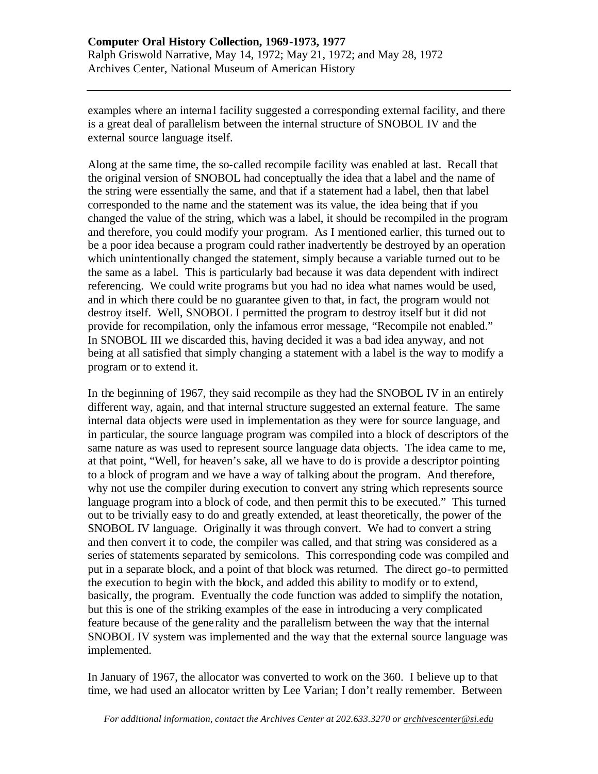examples where an interna l facility suggested a corresponding external facility, and there is a great deal of parallelism between the internal structure of SNOBOL IV and the external source language itself.

Along at the same time, the so-called recompile facility was enabled at last. Recall that the original version of SNOBOL had conceptually the idea that a label and the name of the string were essentially the same, and that if a statement had a label, then that label corresponded to the name and the statement was its value, the idea being that if you changed the value of the string, which was a label, it should be recompiled in the program and therefore, you could modify your program. As I mentioned earlier, this turned out to be a poor idea because a program could rather inadvertently be destroyed by an operation which unintentionally changed the statement, simply because a variable turned out to be the same as a label. This is particularly bad because it was data dependent with indirect referencing. We could write programs but you had no idea what names would be used, and in which there could be no guarantee given to that, in fact, the program would not destroy itself. Well, SNOBOL I permitted the program to destroy itself but it did not provide for recompilation, only the infamous error message, "Recompile not enabled." In SNOBOL III we discarded this, having decided it was a bad idea anyway, and not being at all satisfied that simply changing a statement with a label is the way to modify a program or to extend it.

In the beginning of 1967, they said recompile as they had the SNOBOL IV in an entirely different way, again, and that internal structure suggested an external feature. The same internal data objects were used in implementation as they were for source language, and in particular, the source language program was compiled into a block of descriptors of the same nature as was used to represent source language data objects. The idea came to me, at that point, "Well, for heaven's sake, all we have to do is provide a descriptor pointing to a block of program and we have a way of talking about the program. And therefore, why not use the compiler during execution to convert any string which represents source language program into a block of code, and then permit this to be executed." This turned out to be trivially easy to do and greatly extended, at least theoretically, the power of the SNOBOL IV language. Originally it was through convert. We had to convert a string and then convert it to code, the compiler was called, and that string was considered as a series of statements separated by semicolons. This corresponding code was compiled and put in a separate block, and a point of that block was returned. The direct go-to permitted the execution to begin with the block, and added this ability to modify or to extend, basically, the program. Eventually the code function was added to simplify the notation, but this is one of the striking examples of the ease in introducing a very complicated feature because of the gene rality and the parallelism between the way that the internal SNOBOL IV system was implemented and the way that the external source language was implemented.

In January of 1967, the allocator was converted to work on the 360. I believe up to that time, we had used an allocator written by Lee Varian; I don't really remember. Between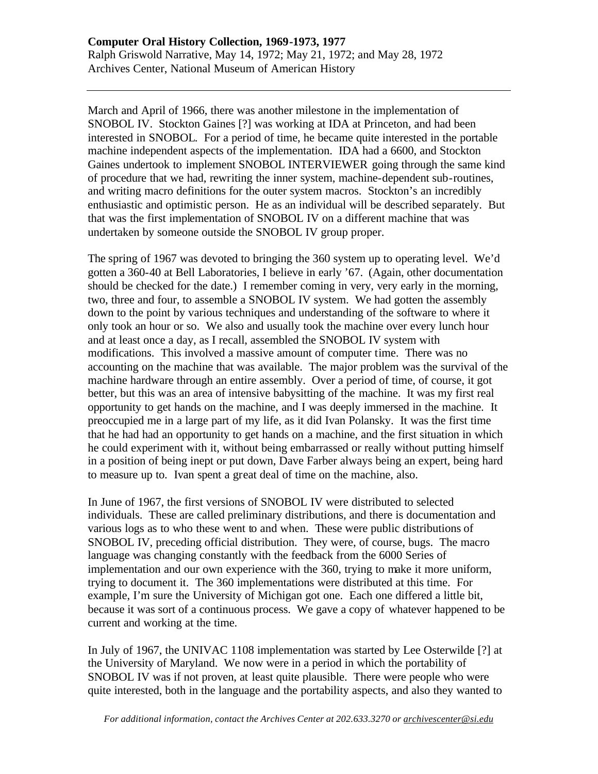March and April of 1966, there was another milestone in the implementation of SNOBOL IV. Stockton Gaines [?] was working at IDA at Princeton, and had been interested in SNOBOL. For a period of time, he became quite interested in the portable machine independent aspects of the implementation. IDA had a 6600, and Stockton Gaines undertook to implement SNOBOL INTERVIEWER going through the same kind of procedure that we had, rewriting the inner system, machine-dependent sub-routines, and writing macro definitions for the outer system macros. Stockton's an incredibly enthusiastic and optimistic person. He as an individual will be described separately. But that was the first implementation of SNOBOL IV on a different machine that was undertaken by someone outside the SNOBOL IV group proper.

The spring of 1967 was devoted to bringing the 360 system up to operating level. We'd gotten a 360-40 at Bell Laboratories, I believe in early '67. (Again, other documentation should be checked for the date.) I remember coming in very, very early in the morning, two, three and four, to assemble a SNOBOL IV system. We had gotten the assembly down to the point by various techniques and understanding of the software to where it only took an hour or so. We also and usually took the machine over every lunch hour and at least once a day, as I recall, assembled the SNOBOL IV system with modifications. This involved a massive amount of computer time. There was no accounting on the machine that was available. The major problem was the survival of the machine hardware through an entire assembly. Over a period of time, of course, it got better, but this was an area of intensive babysitting of the machine. It was my first real opportunity to get hands on the machine, and I was deeply immersed in the machine. It preoccupied me in a large part of my life, as it did Ivan Polansky. It was the first time that he had had an opportunity to get hands on a machine, and the first situation in which he could experiment with it, without being embarrassed or really without putting himself in a position of being inept or put down, Dave Farber always being an expert, being hard to measure up to. Ivan spent a great deal of time on the machine, also.

In June of 1967, the first versions of SNOBOL IV were distributed to selected individuals. These are called preliminary distributions, and there is documentation and various logs as to who these went to and when. These were public distributions of SNOBOL IV, preceding official distribution. They were, of course, bugs. The macro language was changing constantly with the feedback from the 6000 Series of implementation and our own experience with the 360, trying to make it more uniform, trying to document it. The 360 implementations were distributed at this time. For example, I'm sure the University of Michigan got one. Each one differed a little bit, because it was sort of a continuous process. We gave a copy of whatever happened to be current and working at the time.

In July of 1967, the UNIVAC 1108 implementation was started by Lee Osterwilde [?] at the University of Maryland. We now were in a period in which the portability of SNOBOL IV was if not proven, at least quite plausible. There were people who were quite interested, both in the language and the portability aspects, and also they wanted to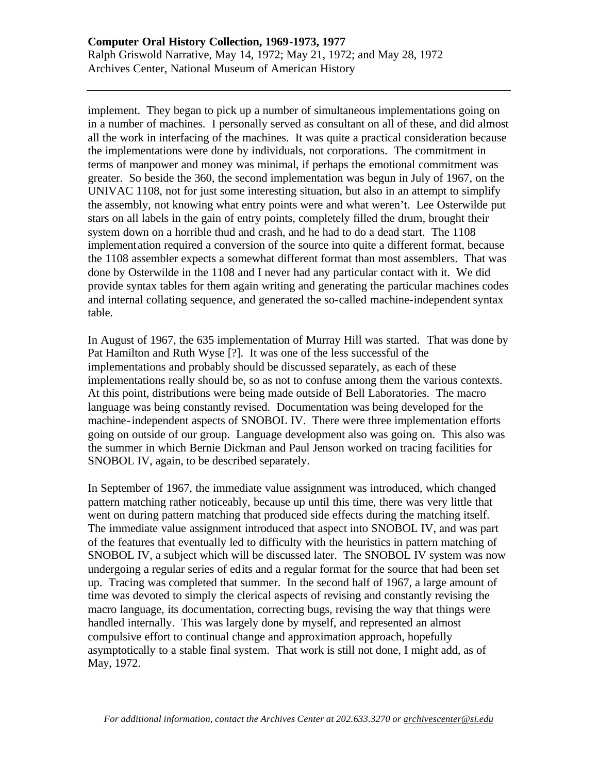implement. They began to pick up a number of simultaneous implementations going on in a number of machines. I personally served as consultant on all of these, and did almost all the work in interfacing of the machines. It was quite a practical consideration because the implementations were done by individuals, not corporations. The commitment in terms of manpower and money was minimal, if perhaps the emotional commitment was greater. So beside the 360, the second implementation was begun in July of 1967, on the UNIVAC 1108, not for just some interesting situation, but also in an attempt to simplify the assembly, not knowing what entry points were and what weren't. Lee Osterwilde put stars on all labels in the gain of entry points, completely filled the drum, brought their system down on a horrible thud and crash, and he had to do a dead start. The 1108 implementation required a conversion of the source into quite a different format, because the 1108 assembler expects a somewhat different format than most assemblers. That was done by Osterwilde in the 1108 and I never had any particular contact with it. We did provide syntax tables for them again writing and generating the particular machines codes and internal collating sequence, and generated the so-called machine-independent syntax table.

In August of 1967, the 635 implementation of Murray Hill was started. That was done by Pat Hamilton and Ruth Wyse [?]. It was one of the less successful of the implementations and probably should be discussed separately, as each of these implementations really should be, so as not to confuse among them the various contexts. At this point, distributions were being made outside of Bell Laboratories. The macro language was being constantly revised. Documentation was being developed for the machine-independent aspects of SNOBOL IV. There were three implementation efforts going on outside of our group. Language development also was going on. This also was the summer in which Bernie Dickman and Paul Jenson worked on tracing facilities for SNOBOL IV, again, to be described separately.

In September of 1967, the immediate value assignment was introduced, which changed pattern matching rather noticeably, because up until this time, there was very little that went on during pattern matching that produced side effects during the matching itself. The immediate value assignment introduced that aspect into SNOBOL IV, and was part of the features that eventually led to difficulty with the heuristics in pattern matching of SNOBOL IV, a subject which will be discussed later. The SNOBOL IV system was now undergoing a regular series of edits and a regular format for the source that had been set up. Tracing was completed that summer. In the second half of 1967, a large amount of time was devoted to simply the clerical aspects of revising and constantly revising the macro language, its documentation, correcting bugs, revising the way that things were handled internally. This was largely done by myself, and represented an almost compulsive effort to continual change and approximation approach, hopefully asymptotically to a stable final system. That work is still not done, I might add, as of May, 1972.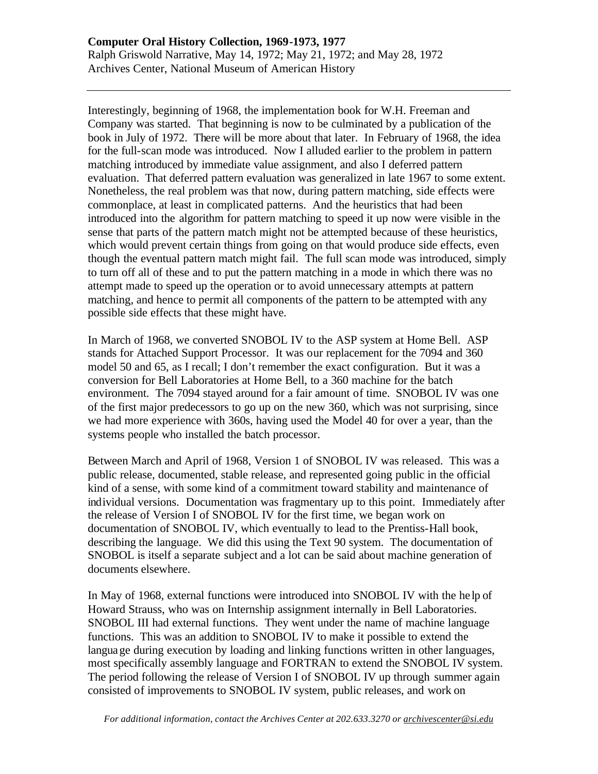Interestingly, beginning of 1968, the implementation book for W.H. Freeman and Company was started. That beginning is now to be culminated by a publication of the book in July of 1972. There will be more about that later. In February of 1968, the idea for the full-scan mode was introduced. Now I alluded earlier to the problem in pattern matching introduced by immediate value assignment, and also I deferred pattern evaluation. That deferred pattern evaluation was generalized in late 1967 to some extent. Nonetheless, the real problem was that now, during pattern matching, side effects were commonplace, at least in complicated patterns. And the heuristics that had been introduced into the algorithm for pattern matching to speed it up now were visible in the sense that parts of the pattern match might not be attempted because of these heuristics, which would prevent certain things from going on that would produce side effects, even though the eventual pattern match might fail. The full scan mode was introduced, simply to turn off all of these and to put the pattern matching in a mode in which there was no attempt made to speed up the operation or to avoid unnecessary attempts at pattern matching, and hence to permit all components of the pattern to be attempted with any possible side effects that these might have.

In March of 1968, we converted SNOBOL IV to the ASP system at Home Bell. ASP stands for Attached Support Processor. It was our replacement for the 7094 and 360 model 50 and 65, as I recall; I don't remember the exact configuration. But it was a conversion for Bell Laboratories at Home Bell, to a 360 machine for the batch environment. The 7094 stayed around for a fair amount of time. SNOBOL IV was one of the first major predecessors to go up on the new 360, which was not surprising, since we had more experience with 360s, having used the Model 40 for over a year, than the systems people who installed the batch processor.

Between March and April of 1968, Version 1 of SNOBOL IV was released. This was a public release, documented, stable release, and represented going public in the official kind of a sense, with some kind of a commitment toward stability and maintenance of individual versions. Documentation was fragmentary up to this point. Immediately after the release of Version I of SNOBOL IV for the first time, we began work on documentation of SNOBOL IV, which eventually to lead to the Prentiss-Hall book, describing the language. We did this using the Text 90 system. The documentation of SNOBOL is itself a separate subject and a lot can be said about machine generation of documents elsewhere.

In May of 1968, external functions were introduced into SNOBOL IV with the he lp of Howard Strauss, who was on Internship assignment internally in Bell Laboratories. SNOBOL III had external functions. They went under the name of machine language functions. This was an addition to SNOBOL IV to make it possible to extend the language during execution by loading and linking functions written in other languages, most specifically assembly language and FORTRAN to extend the SNOBOL IV system. The period following the release of Version I of SNOBOL IV up through summer again consisted of improvements to SNOBOL IV system, public releases, and work on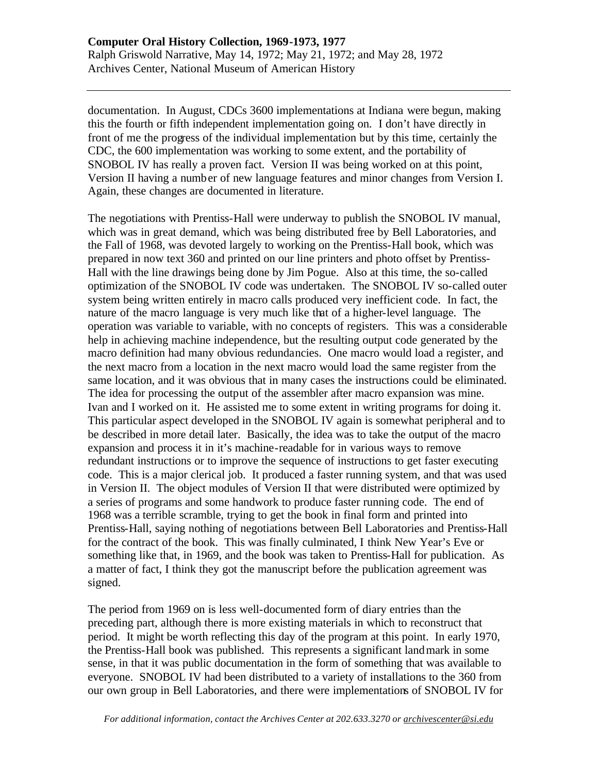documentation. In August, CDCs 3600 implementations at Indiana were begun, making this the fourth or fifth independent implementation going on. I don't have directly in front of me the progress of the individual implementation but by this time, certainly the CDC, the 600 implementation was working to some extent, and the portability of SNOBOL IV has really a proven fact. Version II was being worked on at this point, Version II having a number of new language features and minor changes from Version I. Again, these changes are documented in literature.

The negotiations with Prentiss-Hall were underway to publish the SNOBOL IV manual, which was in great demand, which was being distributed free by Bell Laboratories, and the Fall of 1968, was devoted largely to working on the Prentiss-Hall book, which was prepared in now text 360 and printed on our line printers and photo offset by Prentiss-Hall with the line drawings being done by Jim Pogue. Also at this time, the so-called optimization of the SNOBOL IV code was undertaken. The SNOBOL IV so-called outer system being written entirely in macro calls produced very inefficient code. In fact, the nature of the macro language is very much like that of a higher-level language. The operation was variable to variable, with no concepts of registers. This was a considerable help in achieving machine independence, but the resulting output code generated by the macro definition had many obvious redundancies. One macro would load a register, and the next macro from a location in the next macro would load the same register from the same location, and it was obvious that in many cases the instructions could be eliminated. The idea for processing the output of the assembler after macro expansion was mine. Ivan and I worked on it. He assisted me to some extent in writing programs for doing it. This particular aspect developed in the SNOBOL IV again is somewhat peripheral and to be described in more detail later. Basically, the idea was to take the output of the macro expansion and process it in it's machine-readable for in various ways to remove redundant instructions or to improve the sequence of instructions to get faster executing code. This is a major clerical job. It produced a faster running system, and that was used in Version II. The object modules of Version II that were distributed were optimized by a series of programs and some handwork to produce faster running code. The end of 1968 was a terrible scramble, trying to get the book in final form and printed into Prentiss-Hall, saying nothing of negotiations between Bell Laboratories and Prentiss-Hall for the contract of the book. This was finally culminated, I think New Year's Eve or something like that, in 1969, and the book was taken to Prentiss-Hall for publication. As a matter of fact, I think they got the manuscript before the publication agreement was signed.

The period from 1969 on is less well-documented form of diary entries than the preceding part, although there is more existing materials in which to reconstruct that period. It might be worth reflecting this day of the program at this point. In early 1970, the Prentiss-Hall book was published. This represents a significant landmark in some sense, in that it was public documentation in the form of something that was available to everyone. SNOBOL IV had been distributed to a variety of installations to the 360 from our own group in Bell Laboratories, and there were implementations of SNOBOL IV for